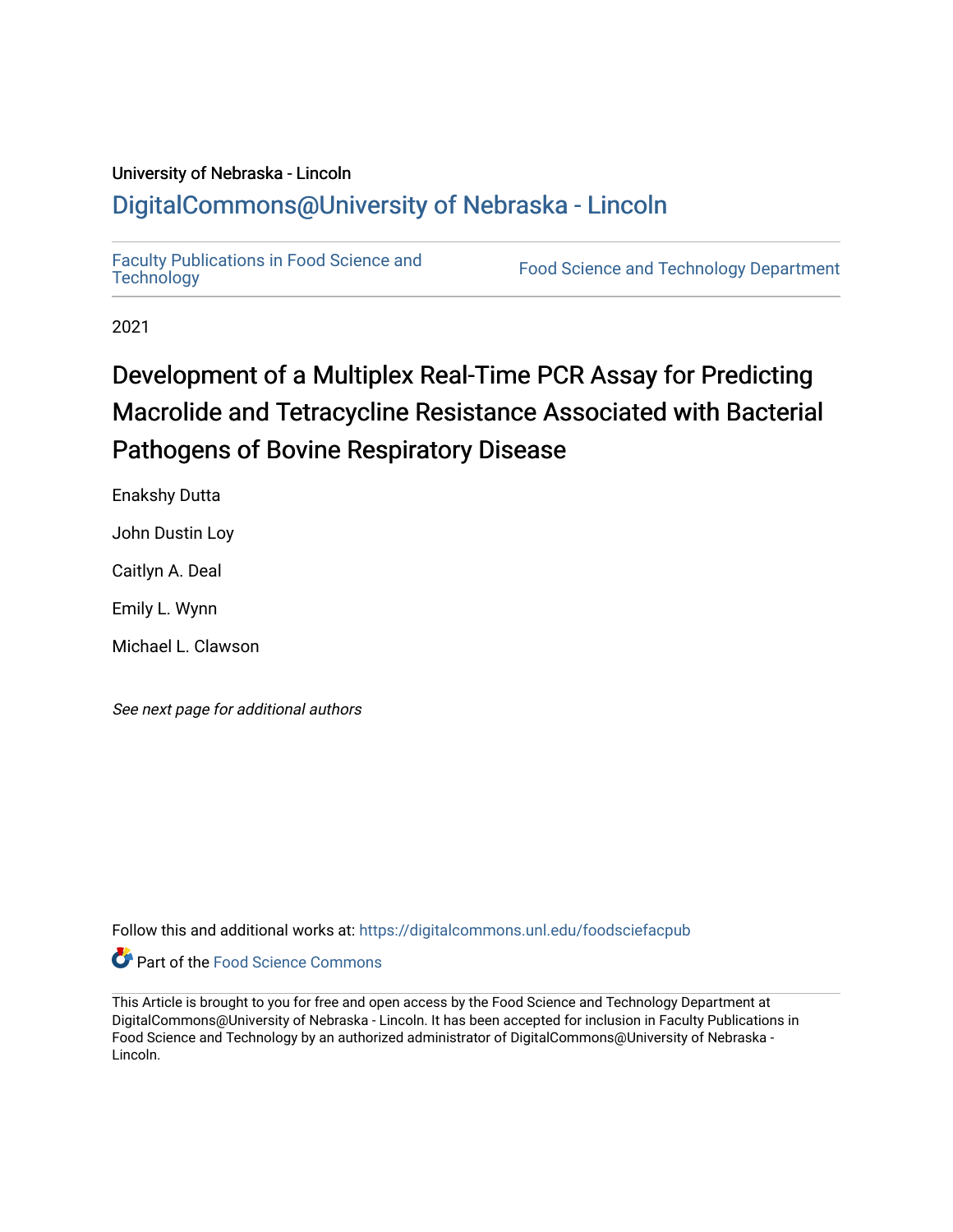## University of Nebraska - Lincoln [DigitalCommons@University of Nebraska - Lincoln](https://digitalcommons.unl.edu/)

[Faculty Publications in Food Science and](https://digitalcommons.unl.edu/foodsciefacpub)

Food Science and [Technology](https://digitalcommons.unl.edu/foodsciefacpub) Department

2021

# Development of a Multiplex Real-Time PCR Assay for Predicting Macrolide and Tetracycline Resistance Associated with Bacterial Pathogens of Bovine Respiratory Disease

Enakshy Dutta

John Dustin Loy

Caitlyn A. Deal

Emily L. Wynn

Michael L. Clawson

See next page for additional authors

Follow this and additional works at: [https://digitalcommons.unl.edu/foodsciefacpub](https://digitalcommons.unl.edu/foodsciefacpub?utm_source=digitalcommons.unl.edu%2Ffoodsciefacpub%2F426&utm_medium=PDF&utm_campaign=PDFCoverPages) 



This Article is brought to you for free and open access by the Food Science and Technology Department at DigitalCommons@University of Nebraska - Lincoln. It has been accepted for inclusion in Faculty Publications in Food Science and Technology by an authorized administrator of DigitalCommons@University of Nebraska -Lincoln.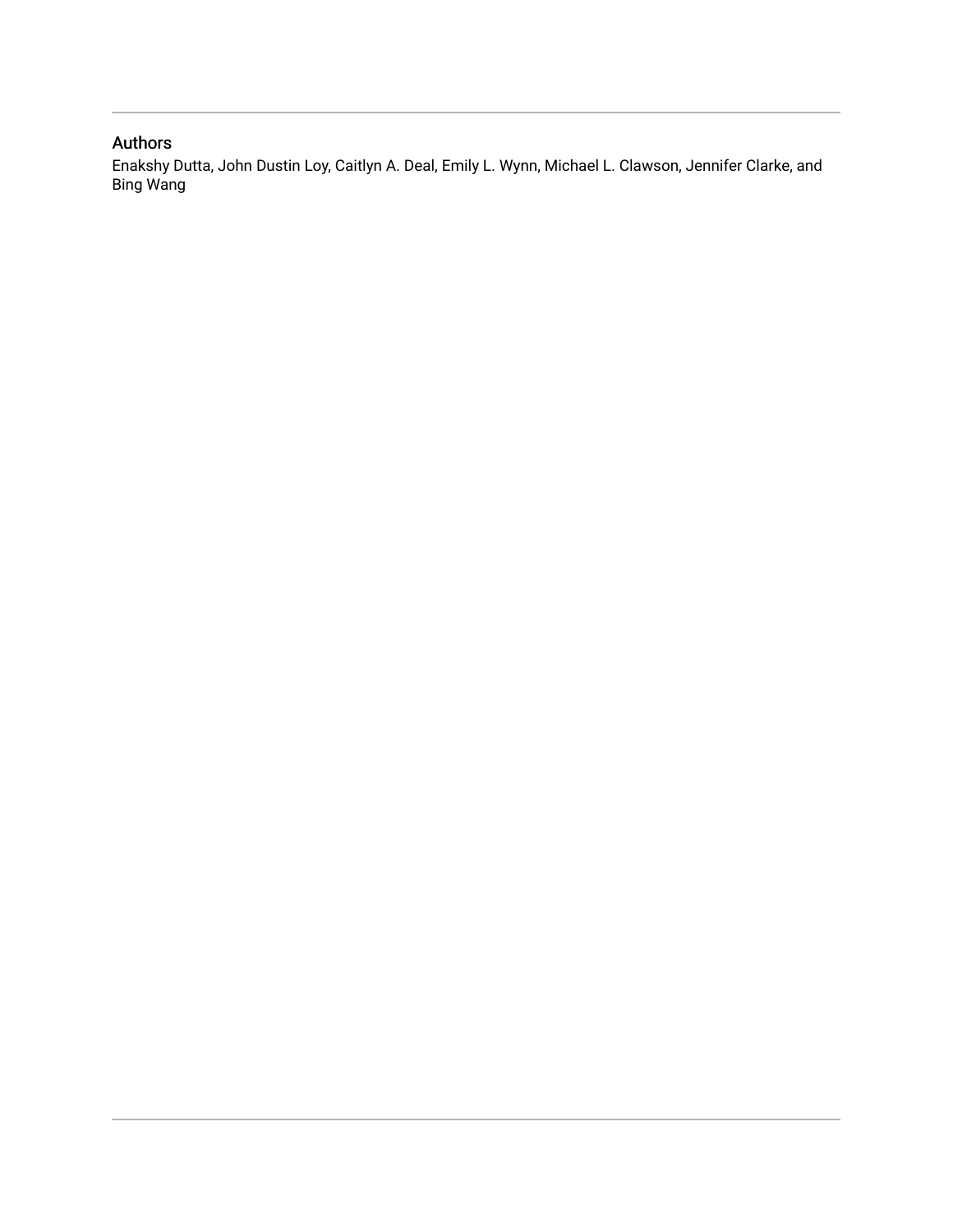### Authors

Enakshy Dutta, John Dustin Loy, Caitlyn A. Deal, Emily L. Wynn, Michael L. Clawson, Jennifer Clarke, and Bing Wang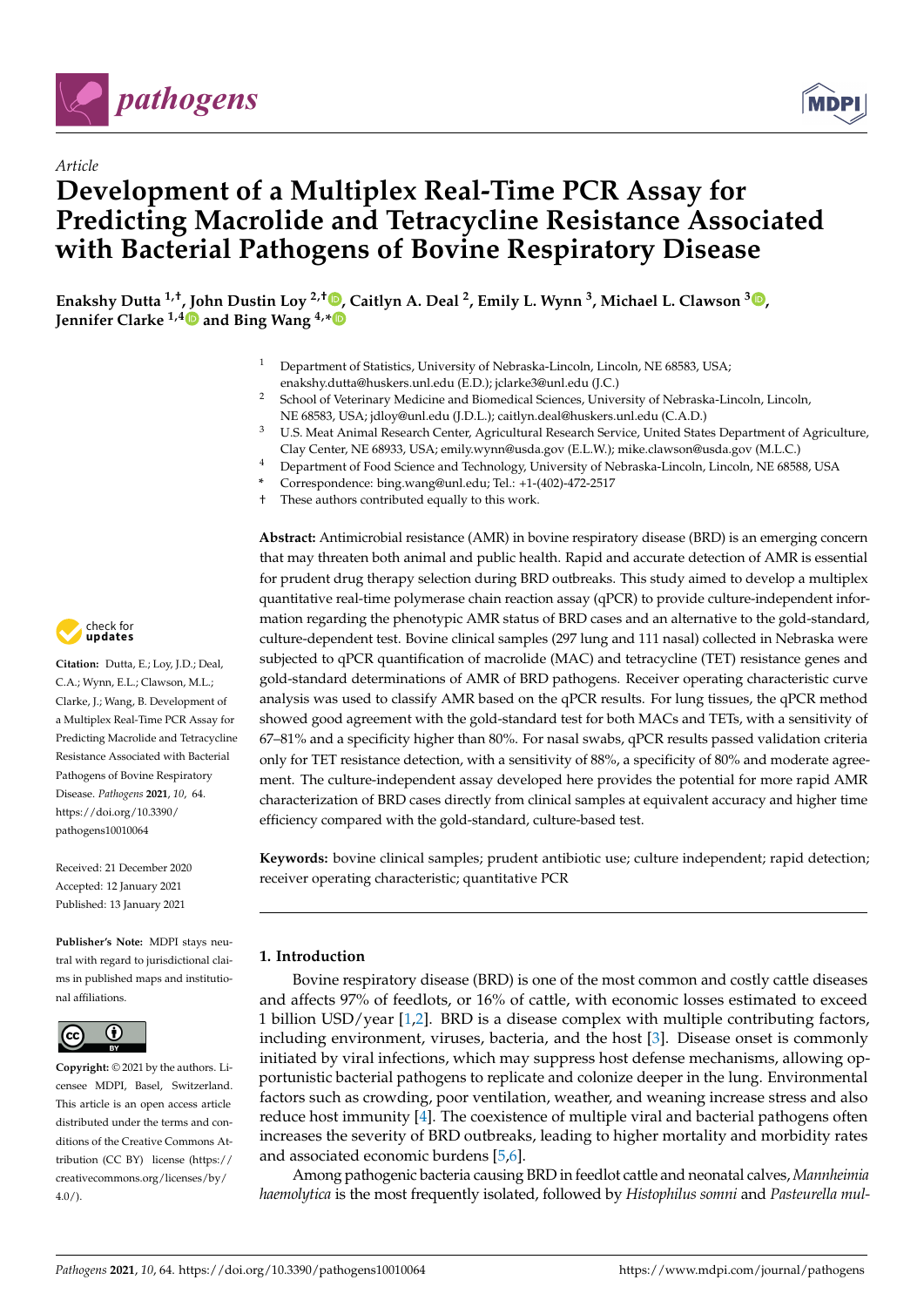

*Article*



# **Development of a Multiplex Real-Time PCR Assay for Predicting Macrolide and Tetracycline Resistance Associated with Bacterial Pathogens of Bovine Respiratory Disease**

**Enakshy Dutta 1,†, John Dustin Loy 2,† [,](https://orcid.org/0000-0002-7282-096X) Caitlyn A. Deal <sup>2</sup> , Emily L. Wynn <sup>3</sup> , Michael L. Clawson <sup>3</sup> [,](https://orcid.org/0000-0002-3355-5390) Jennifer Clarke 1,[4](https://orcid.org/0000-0002-2723-7249) and Bing Wang 4,[\\*](https://orcid.org/0000-0003-0174-2252)**

- <sup>1</sup> Department of Statistics, University of Nebraska-Lincoln, Lincoln, NE 68583, USA; enakshy.dutta@huskers.unl.edu (E.D.); jclarke3@unl.edu (J.C.)
- <sup>2</sup> School of Veterinary Medicine and Biomedical Sciences, University of Nebraska-Lincoln, Lincoln, NE 68583, USA; jdloy@unl.edu (J.D.L.); caitlyn.deal@huskers.unl.edu (C.A.D.)
- <sup>3</sup> U.S. Meat Animal Research Center, Agricultural Research Service, United States Department of Agriculture, Clay Center, NE 68933, USA; emily.wynn@usda.gov (E.L.W.); mike.clawson@usda.gov (M.L.C.)
- <sup>4</sup> Department of Food Science and Technology, University of Nebraska-Lincoln, Lincoln, NE 68588, USA
- **\*** Correspondence: bing.wang@unl.edu; Tel.: +1-(402)-472-2517
- † These authors contributed equally to this work.

**Abstract:** Antimicrobial resistance (AMR) in bovine respiratory disease (BRD) is an emerging concern that may threaten both animal and public health. Rapid and accurate detection of AMR is essential for prudent drug therapy selection during BRD outbreaks. This study aimed to develop a multiplex quantitative real-time polymerase chain reaction assay (qPCR) to provide culture-independent information regarding the phenotypic AMR status of BRD cases and an alternative to the gold-standard, culture-dependent test. Bovine clinical samples (297 lung and 111 nasal) collected in Nebraska were subjected to qPCR quantification of macrolide (MAC) and tetracycline (TET) resistance genes and gold-standard determinations of AMR of BRD pathogens. Receiver operating characteristic curve analysis was used to classify AMR based on the qPCR results. For lung tissues, the qPCR method showed good agreement with the gold-standard test for both MACs and TETs, with a sensitivity of 67–81% and a specificity higher than 80%. For nasal swabs, qPCR results passed validation criteria only for TET resistance detection, with a sensitivity of 88%, a specificity of 80% and moderate agreement. The culture-independent assay developed here provides the potential for more rapid AMR characterization of BRD cases directly from clinical samples at equivalent accuracy and higher time efficiency compared with the gold-standard, culture-based test.

**Keywords:** bovine clinical samples; prudent antibiotic use; culture independent; rapid detection; receiver operating characteristic; quantitative PCR

#### **1. Introduction**

Bovine respiratory disease (BRD) is one of the most common and costly cattle diseases and affects 97% of feedlots, or 16% of cattle, with economic losses estimated to exceed 1 billion USD/year [\[1](#page-20-0)[,2\]](#page-20-1). BRD is a disease complex with multiple contributing factors, including environment, viruses, bacteria, and the host [\[3\]](#page-20-2). Disease onset is commonly initiated by viral infections, which may suppress host defense mechanisms, allowing opportunistic bacterial pathogens to replicate and colonize deeper in the lung. Environmental factors such as crowding, poor ventilation, weather, and weaning increase stress and also reduce host immunity [\[4\]](#page-21-0). The coexistence of multiple viral and bacterial pathogens often increases the severity of BRD outbreaks, leading to higher mortality and morbidity rates and associated economic burdens [\[5](#page-21-1)[,6\]](#page-21-2).

Among pathogenic bacteria causing BRD in feedlot cattle and neonatal calves, *Mannheimia haemolytica* is the most frequently isolated, followed by *Histophilus somni* and *Pasteurella mul-*



**Citation:** Dutta, E.; Loy, J.D.; Deal, C.A.; Wynn, E.L.; Clawson, M.L.; Clarke, J.; Wang, B. Development of a Multiplex Real-Time PCR Assay for Predicting Macrolide and Tetracycline Resistance Associated with Bacterial Pathogens of Bovine Respiratory Disease. *Pathogens* **2021**, *10*, 64. [https://doi.org/10.3390/](https://doi.org/10.3390/pathogens10010064) [pathogens10010064](https://doi.org/10.3390/pathogens10010064)

Received: 21 December 2020 Accepted: 12 January 2021 Published: 13 January 2021

**Publisher's Note:** MDPI stays neutral with regard to jurisdictional claims in published maps and institutional affiliations.



**Copyright:** © 2021 by the authors. Licensee MDPI, Basel, Switzerland. This article is an open access article distributed under the terms and conditions of the Creative Commons Attribution (CC BY) license [\(https://](https://creativecommons.org/licenses/by/4.0/) [creativecommons.org/licenses/by/](https://creativecommons.org/licenses/by/4.0/)  $4.0/$ ).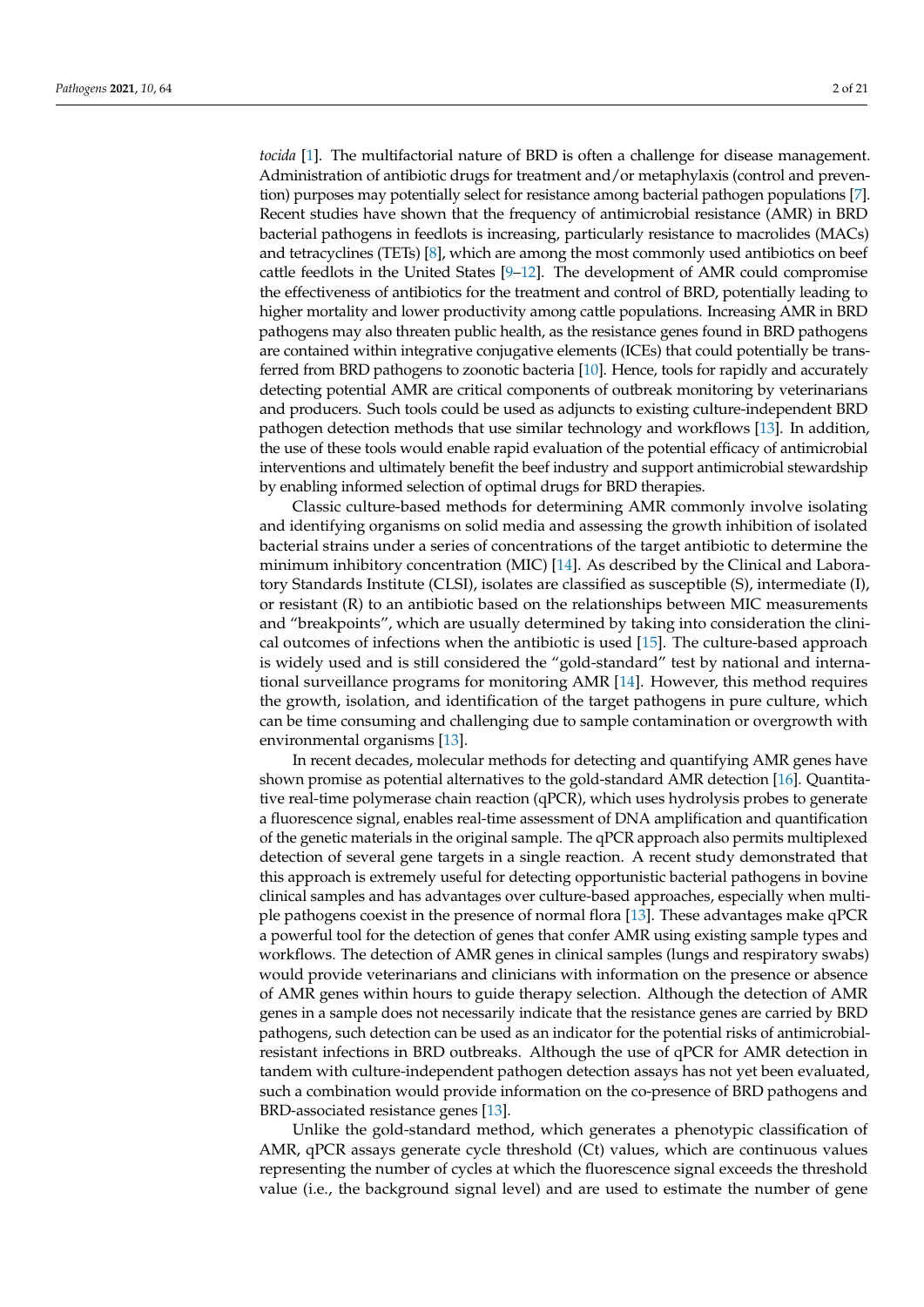*tocida* [\[1\]](#page-20-0). The multifactorial nature of BRD is often a challenge for disease management. Administration of antibiotic drugs for treatment and/or metaphylaxis (control and prevention) purposes may potentially select for resistance among bacterial pathogen populations [\[7\]](#page-21-3). Recent studies have shown that the frequency of antimicrobial resistance (AMR) in BRD bacterial pathogens in feedlots is increasing, particularly resistance to macrolides (MACs) and tetracyclines (TETs) [\[8\]](#page-21-4), which are among the most commonly used antibiotics on beef cattle feedlots in the United States  $[9-12]$  $[9-12]$ . The development of AMR could compromise the effectiveness of antibiotics for the treatment and control of BRD, potentially leading to higher mortality and lower productivity among cattle populations. Increasing AMR in BRD pathogens may also threaten public health, as the resistance genes found in BRD pathogens are contained within integrative conjugative elements (ICEs) that could potentially be transferred from BRD pathogens to zoonotic bacteria [\[10\]](#page-21-7). Hence, tools for rapidly and accurately detecting potential AMR are critical components of outbreak monitoring by veterinarians and producers. Such tools could be used as adjuncts to existing culture-independent BRD pathogen detection methods that use similar technology and workflows [\[13\]](#page-21-8). In addition, the use of these tools would enable rapid evaluation of the potential efficacy of antimicrobial interventions and ultimately benefit the beef industry and support antimicrobial stewardship by enabling informed selection of optimal drugs for BRD therapies.

Classic culture-based methods for determining AMR commonly involve isolating and identifying organisms on solid media and assessing the growth inhibition of isolated bacterial strains under a series of concentrations of the target antibiotic to determine the minimum inhibitory concentration (MIC) [\[14\]](#page-21-9). As described by the Clinical and Laboratory Standards Institute (CLSI), isolates are classified as susceptible (S), intermediate (I), or resistant  $(R)$  to an antibiotic based on the relationships between MIC measurements and "breakpoints", which are usually determined by taking into consideration the clinical outcomes of infections when the antibiotic is used [\[15\]](#page-21-10). The culture-based approach is widely used and is still considered the "gold-standard" test by national and international surveillance programs for monitoring AMR [\[14\]](#page-21-9). However, this method requires the growth, isolation, and identification of the target pathogens in pure culture, which can be time consuming and challenging due to sample contamination or overgrowth with environmental organisms [\[13\]](#page-21-8).

In recent decades, molecular methods for detecting and quantifying AMR genes have shown promise as potential alternatives to the gold-standard AMR detection [\[16\]](#page-21-11). Quantitative real-time polymerase chain reaction (qPCR), which uses hydrolysis probes to generate a fluorescence signal, enables real-time assessment of DNA amplification and quantification of the genetic materials in the original sample. The qPCR approach also permits multiplexed detection of several gene targets in a single reaction. A recent study demonstrated that this approach is extremely useful for detecting opportunistic bacterial pathogens in bovine clinical samples and has advantages over culture-based approaches, especially when multiple pathogens coexist in the presence of normal flora [\[13\]](#page-21-8). These advantages make qPCR a powerful tool for the detection of genes that confer AMR using existing sample types and workflows. The detection of AMR genes in clinical samples (lungs and respiratory swabs) would provide veterinarians and clinicians with information on the presence or absence of AMR genes within hours to guide therapy selection. Although the detection of AMR genes in a sample does not necessarily indicate that the resistance genes are carried by BRD pathogens, such detection can be used as an indicator for the potential risks of antimicrobialresistant infections in BRD outbreaks. Although the use of qPCR for AMR detection in tandem with culture-independent pathogen detection assays has not yet been evaluated, such a combination would provide information on the co-presence of BRD pathogens and BRD-associated resistance genes [\[13\]](#page-21-8).

Unlike the gold-standard method, which generates a phenotypic classification of AMR, qPCR assays generate cycle threshold (Ct) values, which are continuous values representing the number of cycles at which the fluorescence signal exceeds the threshold value (i.e., the background signal level) and are used to estimate the number of gene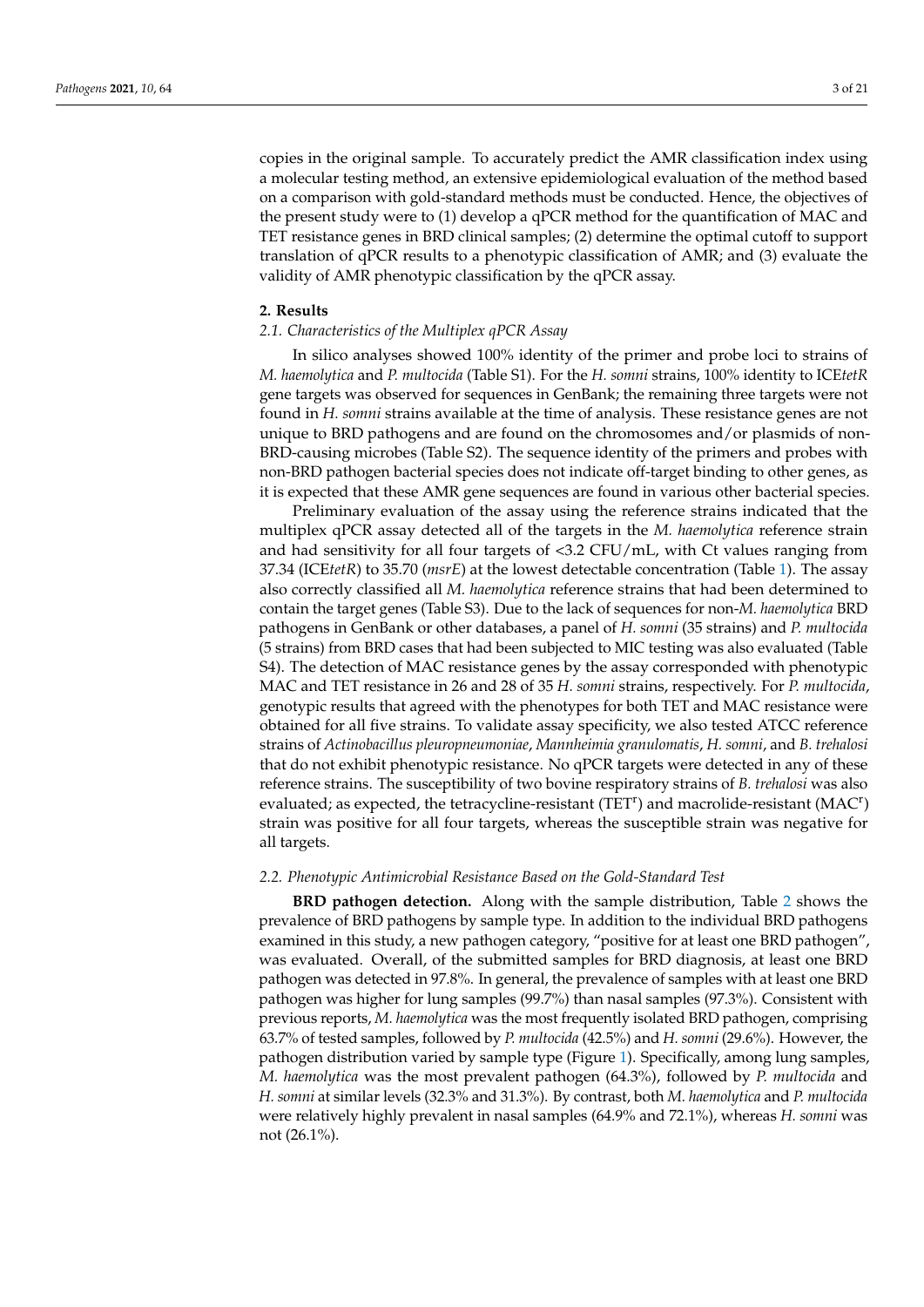copies in the original sample. To accurately predict the AMR classification index using a molecular testing method, an extensive epidemiological evaluation of the method based on a comparison with gold-standard methods must be conducted. Hence, the objectives of the present study were to (1) develop a qPCR method for the quantification of MAC and TET resistance genes in BRD clinical samples; (2) determine the optimal cutoff to support translation of qPCR results to a phenotypic classification of AMR; and (3) evaluate the validity of AMR phenotypic classification by the qPCR assay.

#### **2. Results**

#### *2.1. Characteristics of the Multiplex qPCR Assay*

In silico analyses showed 100% identity of the primer and probe loci to strains of *M. haemolytica* and *P. multocida* (Table S1). For the *H. somni* strains, 100% identity to ICE*tetR* gene targets was observed for sequences in GenBank; the remaining three targets were not found in *H. somni* strains available at the time of analysis. These resistance genes are not unique to BRD pathogens and are found on the chromosomes and/or plasmids of non-BRD-causing microbes (Table S2). The sequence identity of the primers and probes with non-BRD pathogen bacterial species does not indicate off-target binding to other genes, as it is expected that these AMR gene sequences are found in various other bacterial species.

Preliminary evaluation of the assay using the reference strains indicated that the multiplex qPCR assay detected all of the targets in the *M. haemolytica* reference strain and had sensitivity for all four targets of <3.2 CFU/mL, with Ct values ranging from 37.34 (ICE*tetR*) to 35.70 (*msrE*) at the lowest detectable concentration (Table [1\)](#page-5-0). The assay also correctly classified all *M. haemolytica* reference strains that had been determined to contain the target genes (Table S3). Due to the lack of sequences for non-*M. haemolytica* BRD pathogens in GenBank or other databases, a panel of *H. somni* (35 strains) and *P. multocida* (5 strains) from BRD cases that had been subjected to MIC testing was also evaluated (Table S4). The detection of MAC resistance genes by the assay corresponded with phenotypic MAC and TET resistance in 26 and 28 of 35 *H. somni* strains, respectively. For *P. multocida*, genotypic results that agreed with the phenotypes for both TET and MAC resistance were obtained for all five strains. To validate assay specificity, we also tested ATCC reference strains of *Actinobacillus pleuropneumoniae*, *Mannheimia granulomatis*, *H. somni*, and *B. trehalosi* that do not exhibit phenotypic resistance. No qPCR targets were detected in any of these reference strains. The susceptibility of two bovine respiratory strains of *B. trehalosi* was also evaluated; as expected, the tetracycline-resistant (TET<sup>r</sup>) and macrolide-resistant (MAC<sup>r</sup>) strain was positive for all four targets, whereas the susceptible strain was negative for all targets.

#### *2.2. Phenotypic Antimicrobial Resistance Based on the Gold-Standard Test*

**BRD pathogen detection.** Along with the sample distribution, Table [2](#page-5-1) shows the prevalence of BRD pathogens by sample type. In addition to the individual BRD pathogens examined in this study, a new pathogen category, "positive for at least one BRD pathogen", was evaluated. Overall, of the submitted samples for BRD diagnosis, at least one BRD pathogen was detected in 97.8%. In general, the prevalence of samples with at least one BRD pathogen was higher for lung samples (99.7%) than nasal samples (97.3%). Consistent with previous reports, *M. haemolytica* was the most frequently isolated BRD pathogen, comprising 63.7% of tested samples, followed by *P. multocida* (42.5%) and *H. somni* (29.6%). However, the pathogen distribution varied by sample type (Figure [1\)](#page-6-0). Specifically, among lung samples, *M. haemolytica* was the most prevalent pathogen (64.3%), followed by *P. multocida* and *H. somni* at similar levels (32.3% and 31.3%). By contrast, both *M. haemolytica* and *P. multocida* were relatively highly prevalent in nasal samples (64.9% and 72.1%), whereas *H. somni* was not (26.1%).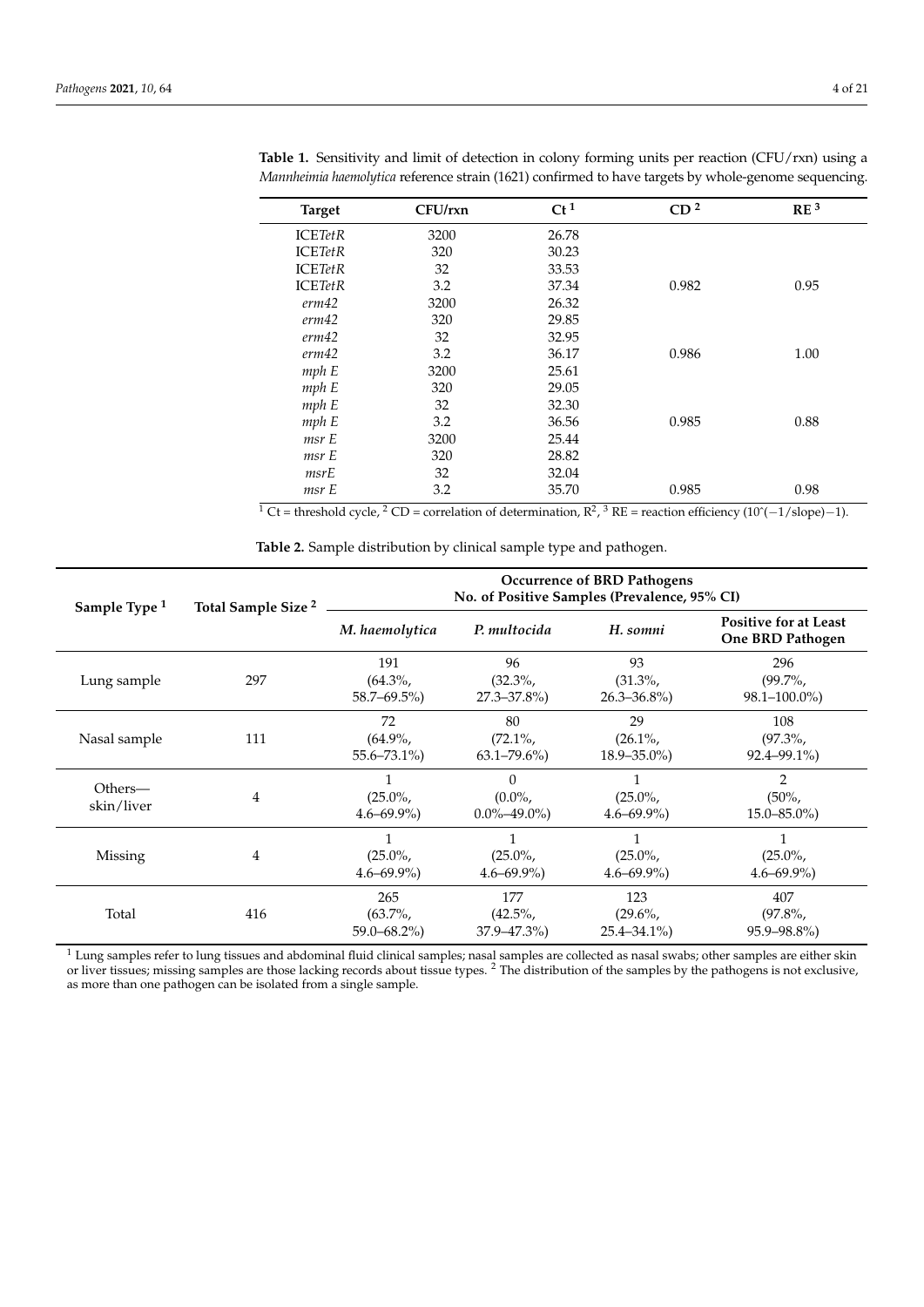| <b>Target</b>  | CFU/rxn | $Ct^1$ | CD <sup>2</sup> | RE <sup>3</sup> |
|----------------|---------|--------|-----------------|-----------------|
| <b>ICETetR</b> | 3200    | 26.78  |                 |                 |
| <b>ICETetR</b> | 320     | 30.23  |                 |                 |
| <b>ICETetR</b> | 32      | 33.53  |                 |                 |
| <b>ICETetR</b> | 3.2     | 37.34  | 0.982           | 0.95            |
| erm42          | 3200    | 26.32  |                 |                 |
| erm42          | 320     | 29.85  |                 |                 |
| erm42          | 32      | 32.95  |                 |                 |
| erm42          | 3.2     | 36.17  | 0.986           | 1.00            |
| mph E          | 3200    | 25.61  |                 |                 |
| mph E          | 320     | 29.05  |                 |                 |
| mph E          | 32      | 32.30  |                 |                 |
| mph E          | 3.2     | 36.56  | 0.985           | 0.88            |
| msr E          | 3200    | 25.44  |                 |                 |
| msr E          | 320     | 28.82  |                 |                 |
| msrE           | 32      | 32.04  |                 |                 |
| msr E          | 3.2     | 35.70  | 0.985           | 0.98            |

<span id="page-5-0"></span>**Table 1.** Sensitivity and limit of detection in colony forming units per reaction (CFU/rxn) using a *Mannheimia haemolytica* reference strain (1621) confirmed to have targets by whole-genome sequencing.

<sup>1</sup> Ct = threshold cycle, <sup>2</sup> CD = correlation of determination,  $R^2$ , <sup>3</sup> RE = reaction efficiency (10<sup> $\gamma$ </sup> – 1/slope)–1).

<span id="page-5-1"></span>

| Sample Type <sup>1</sup> | Total Sample Size <sup>2</sup> | <b>Occurrence of BRD Pathogens</b><br>No. of Positive Samples (Prevalence, 95% CI) |                                          |                                     |                                                  |  |  |  |
|--------------------------|--------------------------------|------------------------------------------------------------------------------------|------------------------------------------|-------------------------------------|--------------------------------------------------|--|--|--|
|                          |                                | M. haemolytica                                                                     | P. multocida                             | H. somni                            | <b>Positive for at Least</b><br>One BRD Pathogen |  |  |  |
| Lung sample              | 297                            | 191<br>$(64.3\%,$<br>$58.7 - 69.5\%$                                               | 96<br>$(32.3\%,$<br>$27.3 - 37.8\%$      | 93<br>$(31.3\%$<br>$26.3 - 36.8\%$  | 296<br>$(99.7\%$<br>$98.1 - 100.0\%)$            |  |  |  |
| Nasal sample             | 111                            | 72<br>$(64.9\%$<br>$55.6 - 73.1\%$                                                 | 80<br>$(72.1\%$<br>$63.1 - 79.6\%)$      | 29<br>$(26.1\%$<br>$18.9 - 35.0\%)$ | 108<br>$(97.3\%$<br>$92.4 - 99.1\%$              |  |  |  |
| Others—<br>skin/liver    | 4                              | $(25.0\%$<br>$4.6 - 69.9\%$                                                        | $\Omega$<br>$(0.0\%$<br>$0.0\% - 49.0\%$ | $(25.0\%$<br>$4.6 - 69.9\%$         | $\overline{2}$<br>$(50\% ,$<br>$15.0 - 85.0\%$   |  |  |  |
| Missing                  | 4                              | $(25.0\%$<br>$4.6 - 69.9\%$                                                        | 1<br>$(25.0\%$<br>$4.6 - 69.9\%$         | 1<br>$(25.0\%$<br>$4.6 - 69.9\%$    | $(25.0\%$<br>$4.6 - 69.9\%$                      |  |  |  |
| Total                    | 416                            | 265<br>$(63.7\%$<br>$59.0 - 68.2\%$                                                | 177<br>$(42.5\%$<br>$37.9 - 47.3\%$      | 123<br>$(29.6\%$<br>$25.4 - 34.1\%$ | 407<br>$(97.8\%$<br>$95.9 - 98.8\%$              |  |  |  |

**Table 2.** Sample distribution by clinical sample type and pathogen.

<sup>1</sup> Lung samples refer to lung tissues and abdominal fluid clinical samples; nasal samples are collected as nasal swabs; other samples are either skin or liver tissues; missing samples are those lacking records about tissue types. <sup>2</sup> The distribution of the samples by the pathogens is not exclusive, as more than one pathogen can be isolated from a single sample.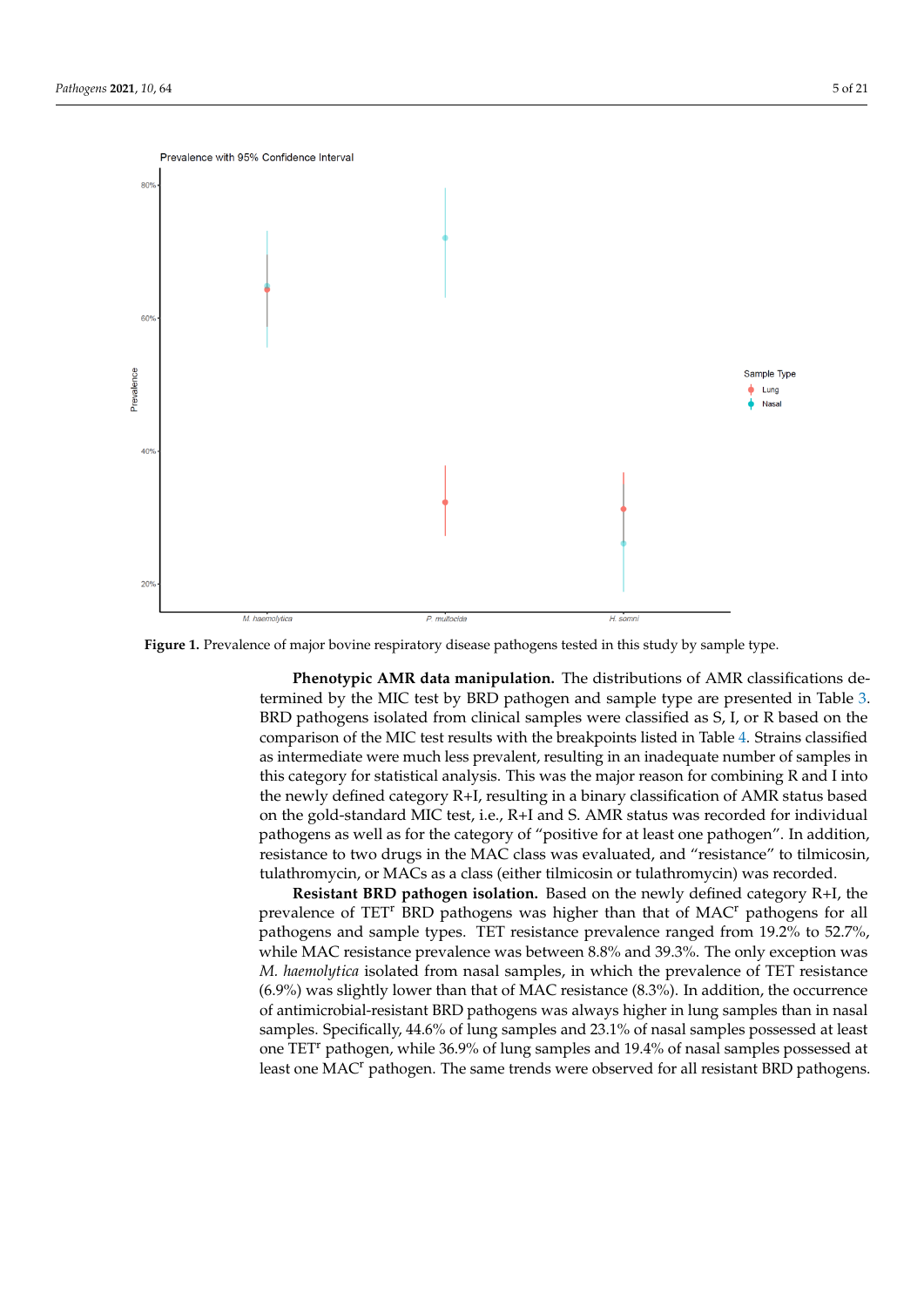<span id="page-6-0"></span>

**Figure 1.** Prevalence of major bovine respiratory disease pathogens tested in this study by sample type. **Figure 1.** Prevalence of major bovine respiratory disease pathogens tested in this study by sample type.

**Phenotypic AMR data manipulation.** The distributions of AMR classifications de-**Phenotypic AMR data manipulation.** The distributions of AMR classifications determined by the MIC test by BRD pathogen and sample type are presented in Table 3. termined by the MIC test by BRD pathogen and sample type are presented in Table [3.](#page-8-0) BRD pathogens isolated from clinical samples were classified as S, I, or R based on the comparison of the MIC test results with the breakpoints listed in Table [4.](#page-8-1) Strains classified comparison of the MIC test results with the breakpoints listed in Table 4. Strains classified as intermediate were much less prevalent, resulting in an inadequate number of samples in as intermediate were much less prevalent, resulting in an inadequate number of samples this category for statistical analysis. This was the major reason for combining R and I into in this category for statistical analysis. This was the major reason for combining R and I the newly defined category R+I, resulting in a binary classification of AMR status based into the newly defined category R+I, resulting in a binary classification of AMR status on the gold-standard MIC test, i.e., R+I and S. AMR status was recorded for individual based on the gold-standard MIC test, i.e., R+I and S. AMR status was recorded for indi-pathogens as well as for the category of "positive for at least one pathogen". In addition, resistance to two drugs in the MAC class was evaluated, and "resistance" to tilmicosin, tulathromycin, or MACs as a class (either tilmicosin or tulathromycin) was recorded. BRD pathogens isolated from clinical samples were classified as S, I, or R based on the

Resistant BRD pathogen isolation. Based on the newly defined category R+I, the prevalence of TET<sup>r</sup> BRD pathogens was higher than that of MAC<sup>r</sup> pathogens for all pathogens and sample types. TET resistance prevalence ranged from 19.2% to 52.7%, while MAC resistance prevalence was between 8.8% and 39.3%. The only exception was *M. haemolytica* isolated from nasal samples, in which the prevalence of TET resistance (6.9%) was slightly lower than that of MAC resistance (8.3%). In addition, the occurrence of antimicrobial-resistant BRD pathogens was always higher in lung samples than in nasal samples. Specifically, 44.6% of lung samples and 23.1% of nasal samples possessed at least one TET<sup>r</sup> pathogen, while 36.9% of lung samples and 19.4% of nasal samples possessed at least one MAC<sup>r</sup> pathogen. The same trends were observed for all resistant BRD pathogens.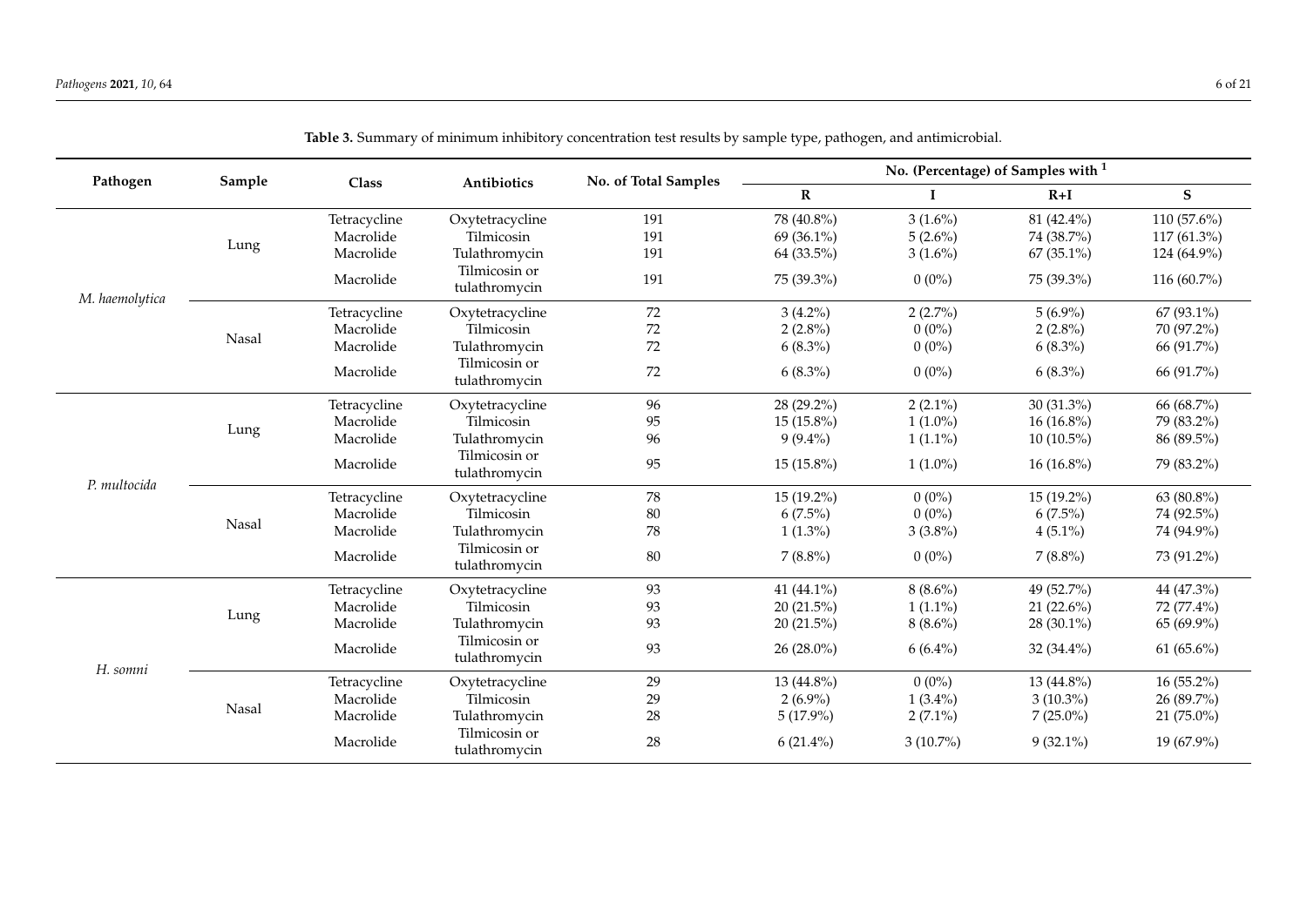| Pathogen       | Sample |              |                                | No. of Total Samples |              |             | No. (Percentage) of Samples with <sup>1</sup> |                |
|----------------|--------|--------------|--------------------------------|----------------------|--------------|-------------|-----------------------------------------------|----------------|
|                |        | Class        | Antibiotics                    |                      | $\mathbf R$  |             | $R+I$                                         | S              |
|                |        | Tetracycline | Oxytetracycline                | 191                  | 78 (40.8%)   | $3(1.6\%)$  | 81 (42.4%)                                    | 110 $(57.6\%)$ |
|                |        | Macrolide    | Tilmicosin                     | 191                  | 69 (36.1%)   | $5(2.6\%)$  | 74 (38.7%)                                    | $117(61.3\%)$  |
|                | Lung   | Macrolide    | Tulathromycin                  | 191                  | 64 (33.5%)   | $3(1.6\%)$  | 67 (35.1%)                                    | 124 (64.9%)    |
| M. haemolytica |        | Macrolide    | Tilmicosin or<br>tulathromycin | 191                  | 75 (39.3%)   | $0(0\%)$    | 75 (39.3%)                                    | 116 (60.7%)    |
|                |        | Tetracycline | Oxytetracycline                | 72                   | $3(4.2\%)$   | $2(2.7\%)$  | $5(6.9\%)$                                    | $67(93.1\%)$   |
|                |        | Macrolide    | Tilmicosin                     | $72\,$               | $2(2.8\%)$   | $0(0\%)$    | $2(2.8\%)$                                    | 70 (97.2%)     |
|                | Nasal  | Macrolide    | Tulathromycin                  | 72                   | $6(8.3\%)$   | $0(0\%)$    | $6(8.3\%)$                                    | 66 (91.7%)     |
|                |        | Macrolide    | Tilmicosin or<br>tulathromycin | 72                   | $6(8.3\%)$   | $0(0\%)$    | $6(8.3\%)$                                    | 66 (91.7%)     |
|                |        | Tetracycline | Oxytetracycline                | 96                   | 28 (29.2%)   | $2(2.1\%)$  | 30 (31.3%)                                    | 66 (68.7%)     |
|                |        | Macrolide    | Tilmicosin                     | 95                   | $15(15.8\%)$ | $1(1.0\%)$  | $16(16.8\%)$                                  | 79 (83.2%)     |
|                | Lung   | Macrolide    | Tulathromycin                  | 96                   | $9(9.4\%)$   | $1(1.1\%)$  | $10(10.5\%)$                                  | 86 (89.5%)     |
|                |        | Macrolide    | Tilmicosin or<br>tulathromycin | 95                   | 15 (15.8%)   | $1(1.0\%)$  | $16(16.8\%)$                                  | 79 (83.2%)     |
| P. multocida   |        | Tetracycline | Oxytetracycline                | 78                   | 15 (19.2%)   | $0(0\%)$    | $15(19.2\%)$                                  | 63 (80.8%)     |
|                |        | Macrolide    | Tilmicosin                     | 80                   | $6(7.5\%)$   | $0(0\%)$    | $6(7.5\%)$                                    | 74 (92.5%)     |
|                | Nasal  | Macrolide    | Tulathromycin                  | 78                   | $1(1.3\%)$   | $3(3.8\%)$  | $4(5.1\%)$                                    | 74 (94.9%)     |
|                |        | Macrolide    | Tilmicosin or<br>tulathromycin | 80                   | $7(8.8\%)$   | $0(0\%)$    | $7(8.8\%)$                                    | 73 (91.2%)     |
|                |        | Tetracycline | Oxytetracycline                | 93                   | 41 (44.1%)   | $8(8.6\%)$  | 49 (52.7%)                                    | 44 (47.3%)     |
|                |        | Macrolide    | Tilmicosin                     | 93                   | $20(21.5\%)$ | $1(1.1\%)$  | 21 $(22.6\%)$                                 | 72 (77.4%)     |
|                | Lung   | Macrolide    | Tulathromycin                  | 93                   | 20(21.5%)    | $8(8.6\%)$  | 28 (30.1%)                                    | $65(69.9\%)$   |
|                |        | Macrolide    | Tilmicosin or<br>tulathromycin | 93                   | 26 (28.0%)   | $6(6.4\%)$  | 32 (34.4%)                                    | 61 $(65.6\%)$  |
| H. somni       |        | Tetracycline | Oxytetracycline                | 29                   | 13 (44.8%)   | $0(0\%)$    | 13 (44.8%)                                    | $16(55.2\%)$   |
|                |        | Macrolide    | Tilmicosin                     | 29                   | $2(6.9\%)$   | $1(3.4\%)$  | $3(10.3\%)$                                   | 26 (89.7%)     |
|                | Nasal  | Macrolide    | Tulathromycin                  | 28                   | $5(17.9\%)$  | $2(7.1\%)$  | $7(25.0\%)$                                   | 21 (75.0%)     |
|                |        | Macrolide    | Tilmicosin or<br>tulathromycin | 28                   | $6(21.4\%)$  | $3(10.7\%)$ | $9(32.1\%)$                                   | 19 (67.9%)     |

**Table 3.** Summary of minimum inhibitory concentration test results by sample type, pathogen, and antimicrobial.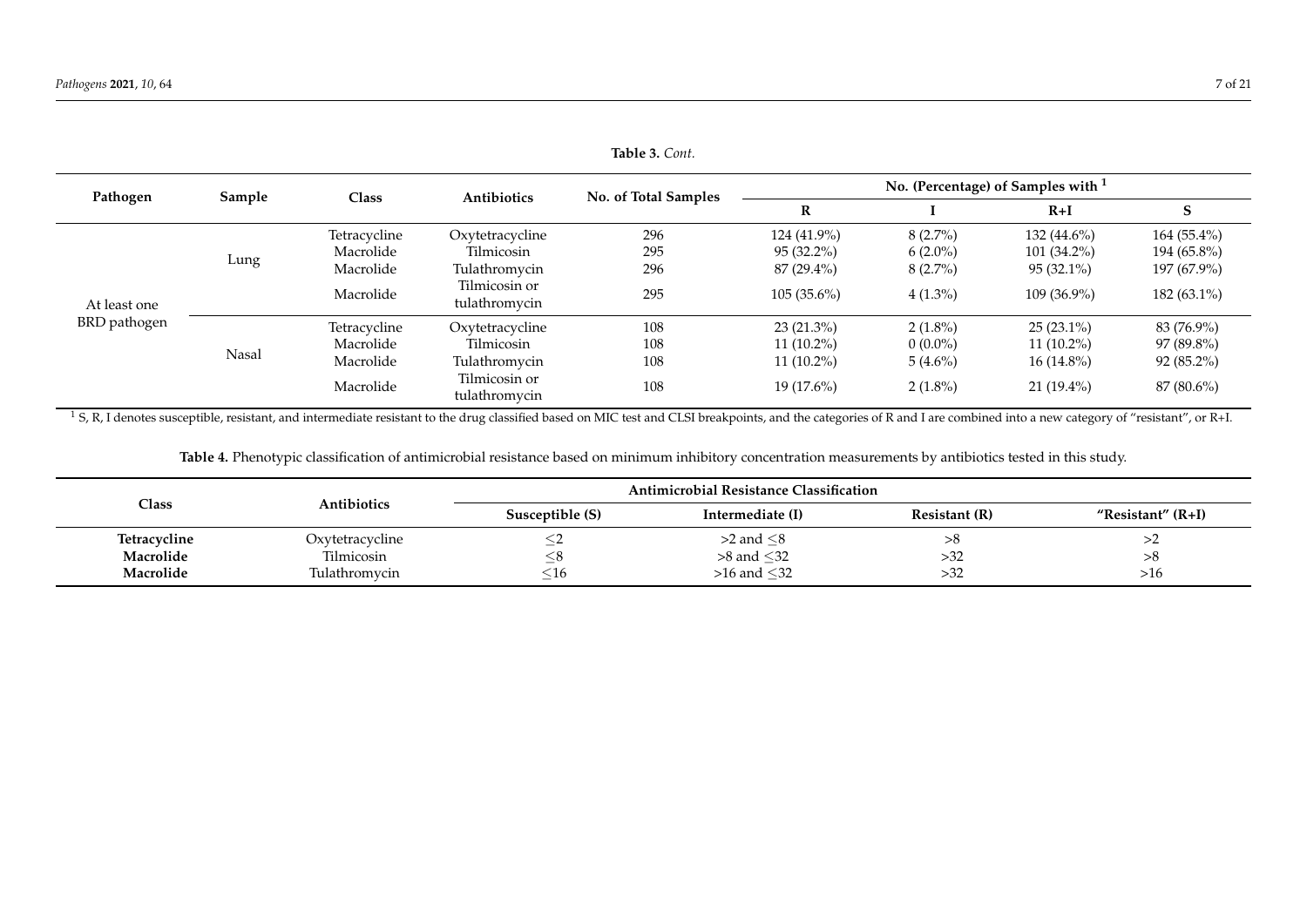| Table 3. Cont. |        |              |                                |                      |                                      |            |               |               |  |  |
|----------------|--------|--------------|--------------------------------|----------------------|--------------------------------------|------------|---------------|---------------|--|--|
| Pathogen       | Sample | Class        |                                | No. of Total Samples | No. (Percentage) of Samples with $1$ |            |               |               |  |  |
|                |        |              | <b>Antibiotics</b>             |                      | R                                    |            | $R+I$         | S             |  |  |
|                |        | Tetracycline | Oxytetracycline                | 296                  | 124 (41.9%)                          | $8(2.7\%)$ | $132(44.6\%)$ | $164(55.4\%)$ |  |  |
|                |        | Macrolide    | Tilmicosin                     | 295                  | $95(32.2\%)$                         | $6(2.0\%)$ | $101(34.2\%)$ | 194 (65.8%)   |  |  |
|                | Lung   | Macrolide    | Tulathromycin                  | 296                  | 87 (29.4%)                           | $8(2.7\%)$ | $95(32.1\%)$  | 197 (67.9%)   |  |  |
| At least one   |        | Macrolide    | Tilmicosin or<br>tulathromycin | 295                  | $105(35.6\%)$                        | $4(1.3\%)$ | $109(36.9\%)$ | $182(63.1\%)$ |  |  |
| BRD pathogen   |        | Tetracycline | Oxytetracycline                | 108                  | $23(21.3\%)$                         | $2(1.8\%)$ | $25(23.1\%)$  | 83 (76.9%)    |  |  |
|                |        | Macrolide    | Tilmicosin                     | 108                  | $11(10.2\%)$                         | $0(0.0\%)$ | $11(10.2\%)$  | 97 (89.8%)    |  |  |
|                | Nasal  | Macrolide    | Tulathromycin                  | 108                  | $11(10.2\%)$                         | $5(4.6\%)$ | $16(14.8\%)$  | $92(85.2\%)$  |  |  |
|                |        | Macrolide    | Tilmicosin or<br>tulathromycin | 108                  | $19(17.6\%)$                         | $2(1.8\%)$ | $21(19.4\%)$  | 87 (80.6%)    |  |  |

<sup>1</sup> S, R, I denotes susceptible, resistant, and intermediate resistant to the drug classified based on MIC test and CLSI breakpoints, and the categories of R and I are combined into a new category of "resistant", or R+I.

**Table 4.** Phenotypic classification of antimicrobial resistance based on minimum inhibitory concentration measurements by antibiotics tested in this study.

<span id="page-8-1"></span><span id="page-8-0"></span>

|              |                    |                 | <b>Antimicrobial Resistance Classification</b> |               |                     |
|--------------|--------------------|-----------------|------------------------------------------------|---------------|---------------------|
| Class        | <b>Antibiotics</b> | Susceptible (S) | Intermediate (I)                               | Resistant (R) | "Resistant" $(R+I)$ |
| Tetracycline | Oxytetracycline    |                 | $>2$ and $\leq$ 8                              | 20            |                     |
| Macrolide    | Tilmicosin         | ∼ం              | $>8$ and $\leq$ 32                             | >32           |                     |
| Macrolide    | Tulathromycin      | $\leq 16$       | $>16$ and $32$                                 | >32           | >16                 |

**Table 3.** *Cont.*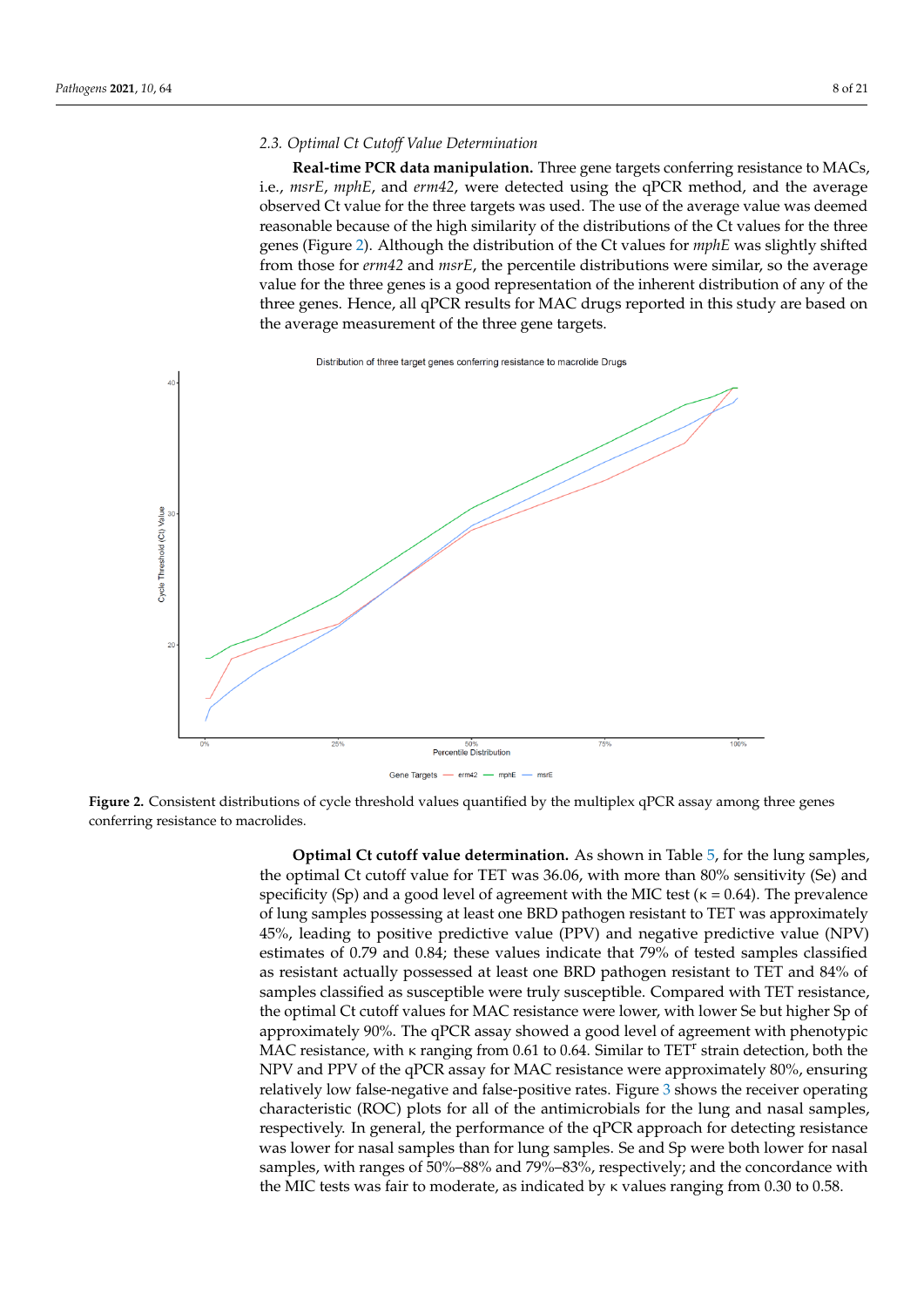### *2.3. Optimal Ct Cutoff Value Determination 2.3. Optimal Ct Cutoff Value Determination*

**Real-time PCR data manipulation.** Three gene targets conferring resistance to MACs, i.e., *msrE*, *mphE*, and *erm42*, were detected using the qPCR method, and the average observed Ct value for the three targets was used. The use of the average value was deemed observed Ct value for the three targets was used. The use of the average value was deemed reasonable because of the high similarity of the distributions of the Ct values for the three reasonable because of the high similarity of the distributions of the Ct values for the three reasonable because of the high similarity of the distributions of the Ct values for the three genes (Figure [2\)](#page-9-0). Although the distribution of the Ct values for *mphE* was slightly shifted from those for *erm42* and *msrE*, the percentile distributions were similar, so the average value for the three genes is a good representation of the inherent distribution of any of the three genes. Hence, all qPCR results for MAC drugs reported in this study are based on the average measurement of the three gene targets. the three genes (Figure 2). Although the distribution of the Ct values for *mphE* was slightly

Distribution of three target genes conferring resistance to macrolide Drugs

<span id="page-9-0"></span>

Figure 2. Consistent distributions of cycle threshold values quantified by the multiplex qPCR assay among three genes conferring resistance to macrolides. conferring resistance to macrolides.

**Optimal Ct cutoff value determination.** As shown in Table [5,](#page-11-0) for the lung samples, the optimal Ct cutoff value for TET was 36.06, with more than 80% sensitivity (Se) and specificity (Sp) and a good level of agreement with the MIC test ( $\kappa = 0.64$ ). The prevalence of lung samples possessing at least one BRD pathogen resistant to TET was approximately 45%, leading to positive predictive value (PPV) and negative predictive value (NPV) estimates of 0.79 and 0.84; these values indicate that 79% of tested samples classified as resistant actually possessed at least one BRD pathogen resistant to TET and 84% of samples classified as susceptible were truly susceptible. Compared with TET resistance, the optimal Ct cutoff values for MAC resistance were lower, with lower Se but higher Sp of approximately 90%. The qPCR assay showed a good level of agreement with phenotypic MAC resistance, with κ ranging from 0.61 to 0.64. Similar to TET<sup>r</sup> strain detection, both the NPV and PPV of the qPCR assay for MAC resistance were approximately 80%, ensuring relatively low false-negative and false-positive rates. Figure [3](#page-12-0) shows the receiver operating characteristic (ROC) plots for all of the antimicrobials for the lung and nasal samples, respectively. In general, the performance of the qPCR approach for detecting resistance was lower for nasal samples than for lung samples. Se and Sp were both lower for nasal samples, with ranges of 50%–88% and 79%–83%, respectively; and the concordance with the MIC tests was fair to moderate, as indicated by  $\kappa$  values ranging from 0.30 to 0.58.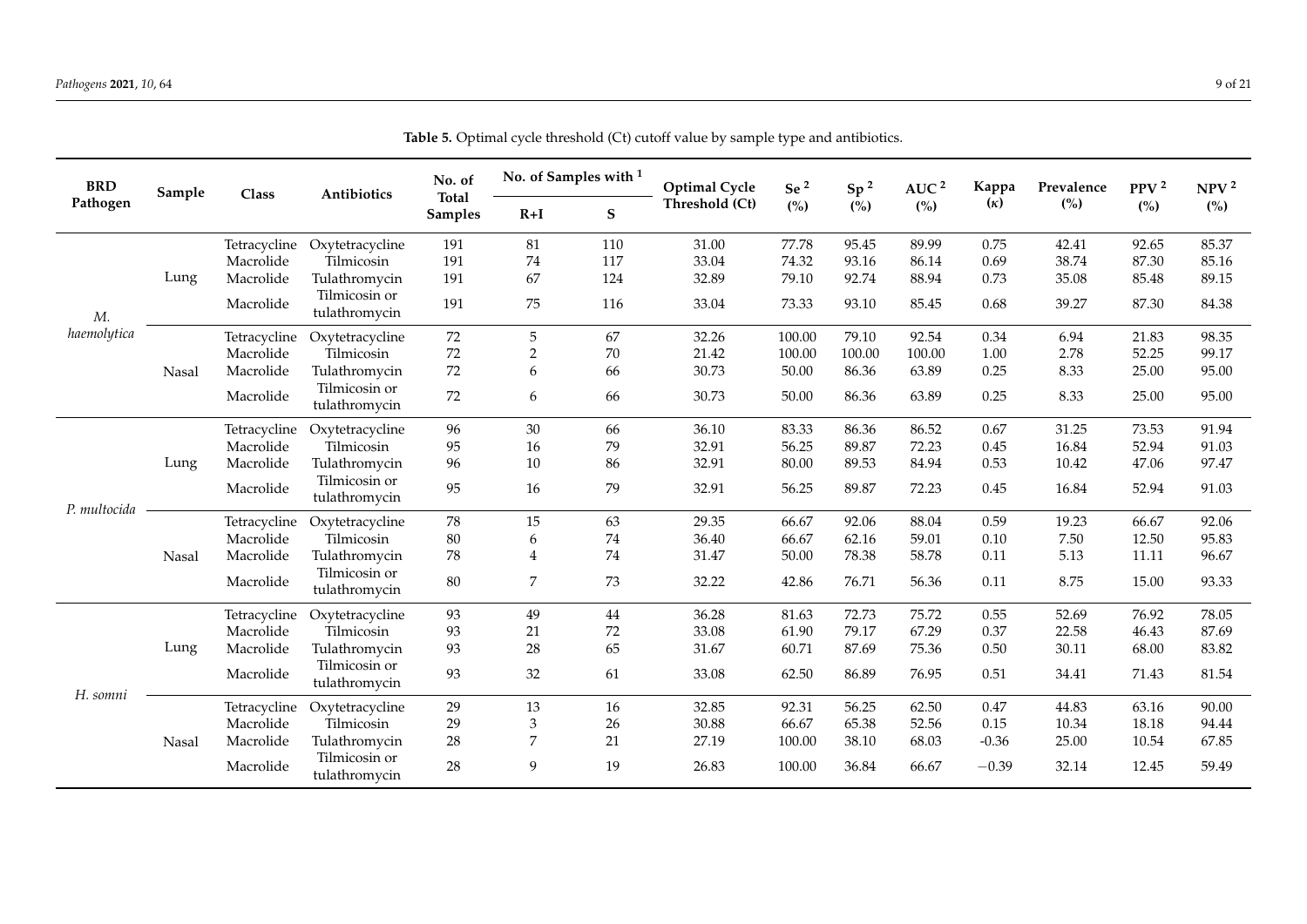| <b>BRD</b><br>Sample |       | Class        | Antibiotics                    | No. of<br><b>Total</b> |                | No. of Samples with <sup>1</sup> | <b>Optimal Cycle</b> | Se $^2$ | Sp <sup>2</sup> | AUC <sup>2</sup> | Kappa      | Prevalence | PPV <sup>2</sup> | NPV <sup>2</sup> |
|----------------------|-------|--------------|--------------------------------|------------------------|----------------|----------------------------------|----------------------|---------|-----------------|------------------|------------|------------|------------------|------------------|
| Pathogen             |       |              |                                | Samples                | $R+I$          | ${\bf S}$                        | Threshold (Ct)       | (%)     | (%)             | (%)              | $(\kappa)$ | (%)        | (%)              | (%)              |
|                      |       | Tetracycline | Oxytetracycline                | 191                    | 81             | 110                              | 31.00                | 77.78   | 95.45           | 89.99            | 0.75       | 42.41      | 92.65            | 85.37            |
|                      |       | Macrolide    | Tilmicosin                     | 191                    | 74             | 117                              | 33.04                | 74.32   | 93.16           | 86.14            | 0.69       | 38.74      | 87.30            | 85.16            |
|                      | Lung  | Macrolide    | Tulathromycin                  | 191                    | 67             | 124                              | 32.89                | 79.10   | 92.74           | 88.94            | 0.73       | 35.08      | 85.48            | 89.15            |
| M.                   |       | Macrolide    | Tilmicosin or<br>tulathromycin | 191                    | 75             | 116                              | 33.04                | 73.33   | 93.10           | 85.45            | 0.68       | 39.27      | 87.30            | 84.38            |
| haemolytica          |       | Tetracycline | Oxytetracycline                | 72                     | 5              | 67                               | 32.26                | 100.00  | 79.10           | 92.54            | 0.34       | 6.94       | 21.83            | 98.35            |
|                      |       | Macrolide    | Tilmicosin                     | 72                     | $\sqrt{2}$     | $70\,$                           | 21.42                | 100.00  | 100.00          | 100.00           | 1.00       | 2.78       | 52.25            | 99.17            |
|                      | Nasal | Macrolide    | Tulathromycin                  | 72                     | 6              | 66                               | 30.73                | 50.00   | 86.36           | 63.89            | 0.25       | 8.33       | 25.00            | 95.00            |
|                      |       | Macrolide    | Tilmicosin or<br>tulathromycin | 72                     | 6              | 66                               | 30.73                | 50.00   | 86.36           | 63.89            | 0.25       | 8.33       | 25.00            | 95.00            |
|                      |       | Tetracycline | Oxytetracycline                | 96                     | 30             | 66                               | 36.10                | 83.33   | 86.36           | 86.52            | 0.67       | 31.25      | 73.53            | 91.94            |
|                      |       | Macrolide    | Tilmicosin                     | 95                     | 16             | 79                               | 32.91                | 56.25   | 89.87           | 72.23            | 0.45       | 16.84      | 52.94            | 91.03            |
|                      | Lung  | Macrolide    | Tulathromycin                  | 96                     | 10             | 86                               | 32.91                | 80.00   | 89.53           | 84.94            | 0.53       | 10.42      | 47.06            | 97.47            |
|                      |       | Macrolide    | Tilmicosin or<br>tulathromycin | 95                     | 16             | 79                               | 32.91                | 56.25   | 89.87           | 72.23            | 0.45       | 16.84      | 52.94            | 91.03            |
| P. multocida         |       | Tetracycline | Oxytetracycline                | 78                     | 15             | 63                               | 29.35                | 66.67   | 92.06           | 88.04            | 0.59       | 19.23      | 66.67            | 92.06            |
|                      |       | Macrolide    | Tilmicosin                     | 80                     | 6              | $74\,$                           | 36.40                | 66.67   | 62.16           | 59.01            | 0.10       | 7.50       | 12.50            | 95.83            |
|                      | Nasal | Macrolide    | Tulathromycin                  | 78                     | $\overline{4}$ | 74                               | 31.47                | 50.00   | 78.38           | 58.78            | 0.11       | 5.13       | 11.11            | 96.67            |
|                      |       | Macrolide    | Tilmicosin or<br>tulathromycin | 80                     | 7              | 73                               | 32.22                | 42.86   | 76.71           | 56.36            | 0.11       | 8.75       | 15.00            | 93.33            |
|                      |       | Tetracycline | Oxytetracycline                | 93                     | 49             | $44\,$                           | 36.28                | 81.63   | 72.73           | 75.72            | 0.55       | 52.69      | 76.92            | 78.05            |
|                      |       | Macrolide    | Tilmicosin                     | 93                     | 21             | $72\,$                           | 33.08                | 61.90   | 79.17           | 67.29            | 0.37       | 22.58      | 46.43            | 87.69            |
|                      | Lung  | Macrolide    | Tulathromycin                  | 93                     | 28             | 65                               | 31.67                | 60.71   | 87.69           | 75.36            | 0.50       | 30.11      | 68.00            | 83.82            |
| H. somni             |       | Macrolide    | Tilmicosin or<br>tulathromycin | 93                     | 32             | 61                               | 33.08                | 62.50   | 86.89           | 76.95            | 0.51       | 34.41      | 71.43            | 81.54            |
|                      |       | Tetracycline | Oxytetracycline                | 29                     | 13             | 16                               | 32.85                | 92.31   | 56.25           | 62.50            | 0.47       | 44.83      | 63.16            | 90.00            |
|                      |       | Macrolide    | Tilmicosin                     | 29                     | 3              | $26\,$                           | 30.88                | 66.67   | 65.38           | 52.56            | 0.15       | 10.34      | 18.18            | 94.44            |
|                      | Nasal | Macrolide    | Tulathromycin                  | 28                     | 7              | 21                               | 27.19                | 100.00  | 38.10           | 68.03            | $-0.36$    | 25.00      | 10.54            | 67.85            |
|                      |       | Macrolide    | Tilmicosin or<br>tulathromycin | 28                     | 9              | 19                               | 26.83                | 100.00  | 36.84           | 66.67            | $-0.39$    | 32.14      | 12.45            | 59.49            |

**Table 5.** Optimal cycle threshold (Ct) cutoff value by sample type and antibiotics.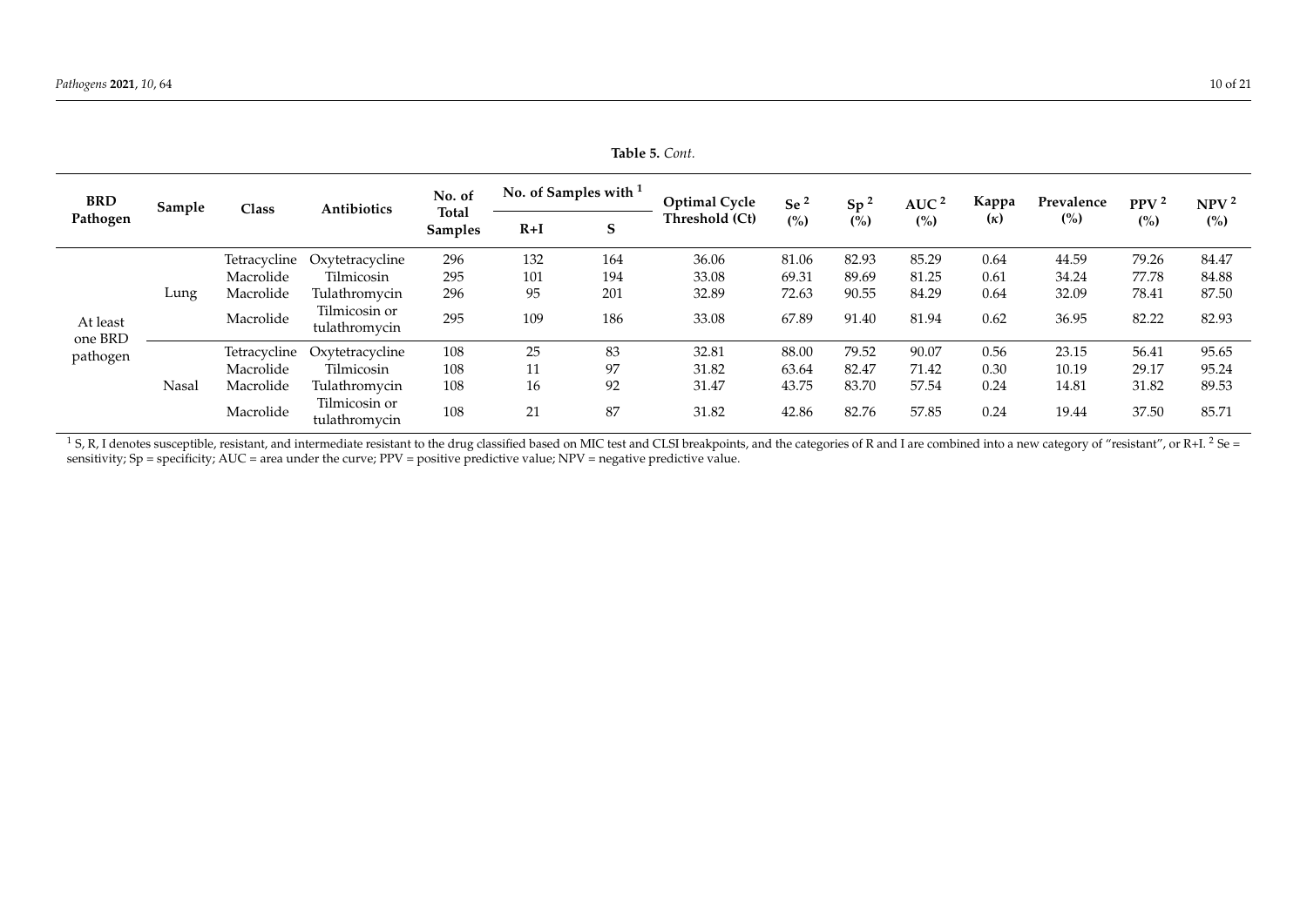| <b>BRD</b><br>Pathogen | Sample | Class        | <b>Antibiotics</b>             | No. of<br><b>Total</b><br><b>Samples</b> | No. of Samples with <sup>1</sup> |     | <b>Optimal Cycle</b> | Se <sup>2</sup> | Sp <sup>2</sup> | AUC $^2$ | Kappa      | Prevalence | PPV <sup>2</sup> | NPV <sup>2</sup> |
|------------------------|--------|--------------|--------------------------------|------------------------------------------|----------------------------------|-----|----------------------|-----------------|-----------------|----------|------------|------------|------------------|------------------|
|                        |        |              |                                |                                          | $R+I$                            | S   | Threshold (Ct)       | (%)             | (%)             | (%)      | $(\kappa)$ | (%)        | (%)              | (%)              |
| At least               |        | Tetracycline | Oxytetracycline                | 296                                      | 132                              | 164 | 36.06                | 81.06           | 82.93           | 85.29    | 0.64       | 44.59      | 79.26            | 84.47            |
|                        |        | Macrolide    | Tilmicosin                     | 295                                      | 101                              | 194 | 33.08                | 69.31           | 89.69           | 81.25    | 0.61       | 34.24      | 77.78            | 84.88            |
|                        | Lung   | Macrolide    | Tulathromycin                  | 296                                      | 95                               | 201 | 32.89                | 72.63           | 90.55           | 84.29    | 0.64       | 32.09      | 78.41            | 87.50            |
|                        |        | Macrolide    | Tilmicosin or<br>tulathromycin | 295                                      | 109                              | 186 | 33.08                | 67.89           | 91.40           | 81.94    | 0.62       | 36.95      | 82.22            | 82.93            |
| one BRD<br>pathogen    |        | Tetracycline | Oxytetracycline                | 108                                      | 25                               | 83  | 32.81                | 88.00           | 79.52           | 90.07    | 0.56       | 23.15      | 56.41            | 95.65            |
|                        |        | Macrolide    | Tilmicosin                     | 108                                      |                                  | 97  | 31.82                | 63.64           | 82.47           | 71.42    | 0.30       | 10.19      | 29.17            | 95.24            |
|                        | Nasal  | Macrolide    | Tulathromycin                  | 108                                      | 16                               | 92  | 31.47                | 43.75           | 83.70           | 57.54    | 0.24       | 14.81      | 31.82            | 89.53            |
|                        |        | Macrolide    | Tilmicosin or<br>tulathromycin | 108                                      | 21                               | 87  | 31.82                | 42.86           | 82.76           | 57.85    | 0.24       | 19.44      | 37.50            | 85.71            |

<span id="page-11-0"></span> $^1$  S, R, I denotes susceptible, resistant, and intermediate resistant to the drug classified based on MIC test and CLSI breakpoints, and the categories of R and I are combined into a new category of "resistant", or R+I. sensitivity; Sp = specificity; AUC = area under the curve; PPV = positive predictive value; NPV = negative predictive value.

**Table 5.** *Cont.*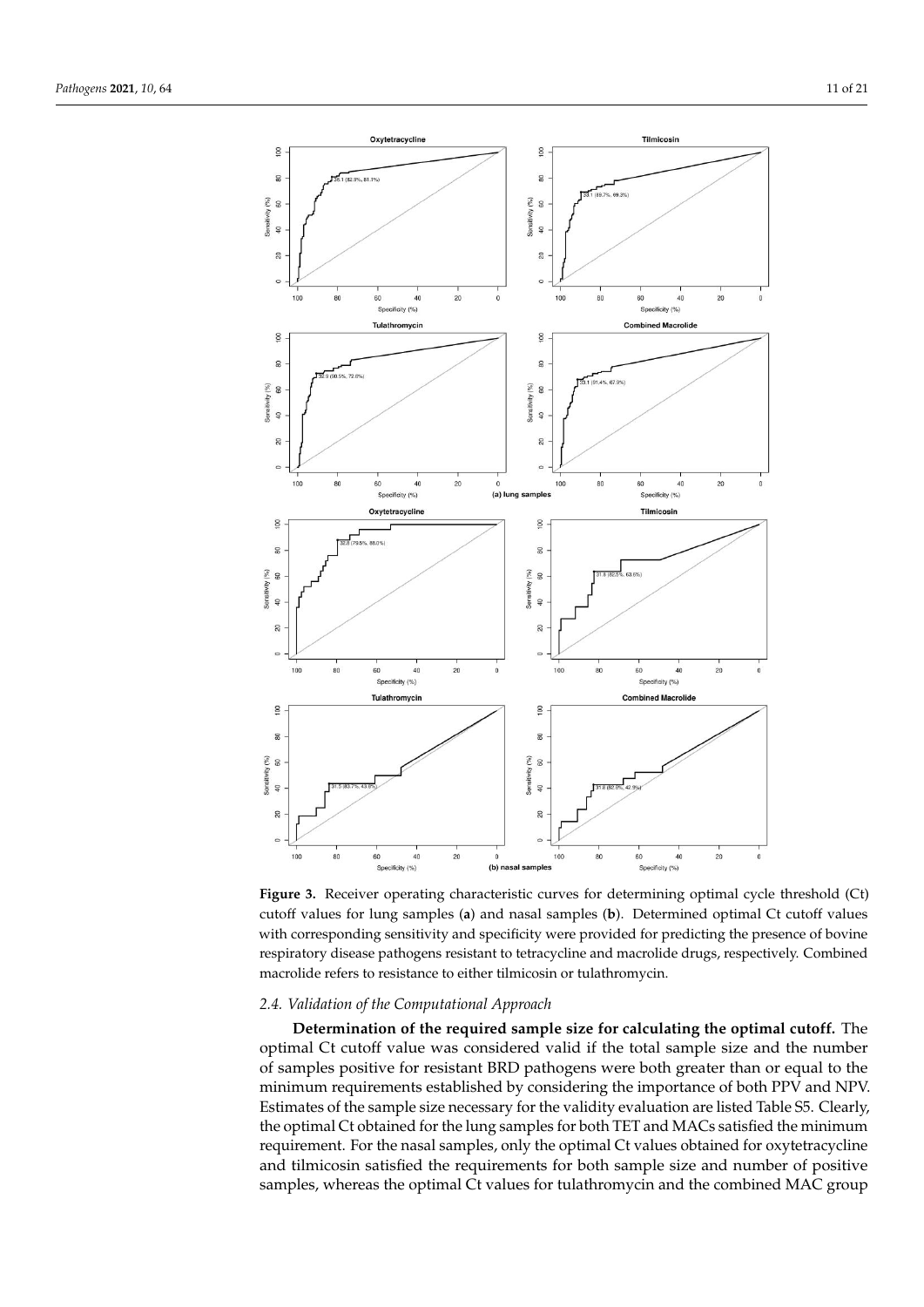<span id="page-12-0"></span>

**Figure 3.** Receiver operating characteristic curves for determining optimal cycle threshold (Ct) cutoff values for lung samples (a) and nasal samples (b). Determined optimal Ct cutoff values with corresponding sensitivity and specificity were provided for predicting the presence of bovine respiratory disease pathogens resistant to tetracycline and macrolide drugs, respectively. Combined macrolide refers to resistance to either tilmicosin or tulathromycin.

#### *2.4. Validation of the Computational Approach*

**Determination of the required sample size for calculating the optimal cutoff.** The optimal Ct cutoff value was considered valid if the total sample size and the number of samples positive for resistant BRD pathogens were both greater than or equal to the minimum requirements established by considering the importance of both PPV and NPV. Estimates of the sample size necessary for the validity evaluation are listed Table S5. Clearly, the optimal Ct obtained for the lung samples for both TET and MACs satisfied the minimum requirement. For the nasal samples, only the optimal Ct values obtained for oxytetracycline and tilmicosin satisfied the requirements for both sample size and number of positive samples, whereas the optimal Ct values for tulathromycin and the combined MAC group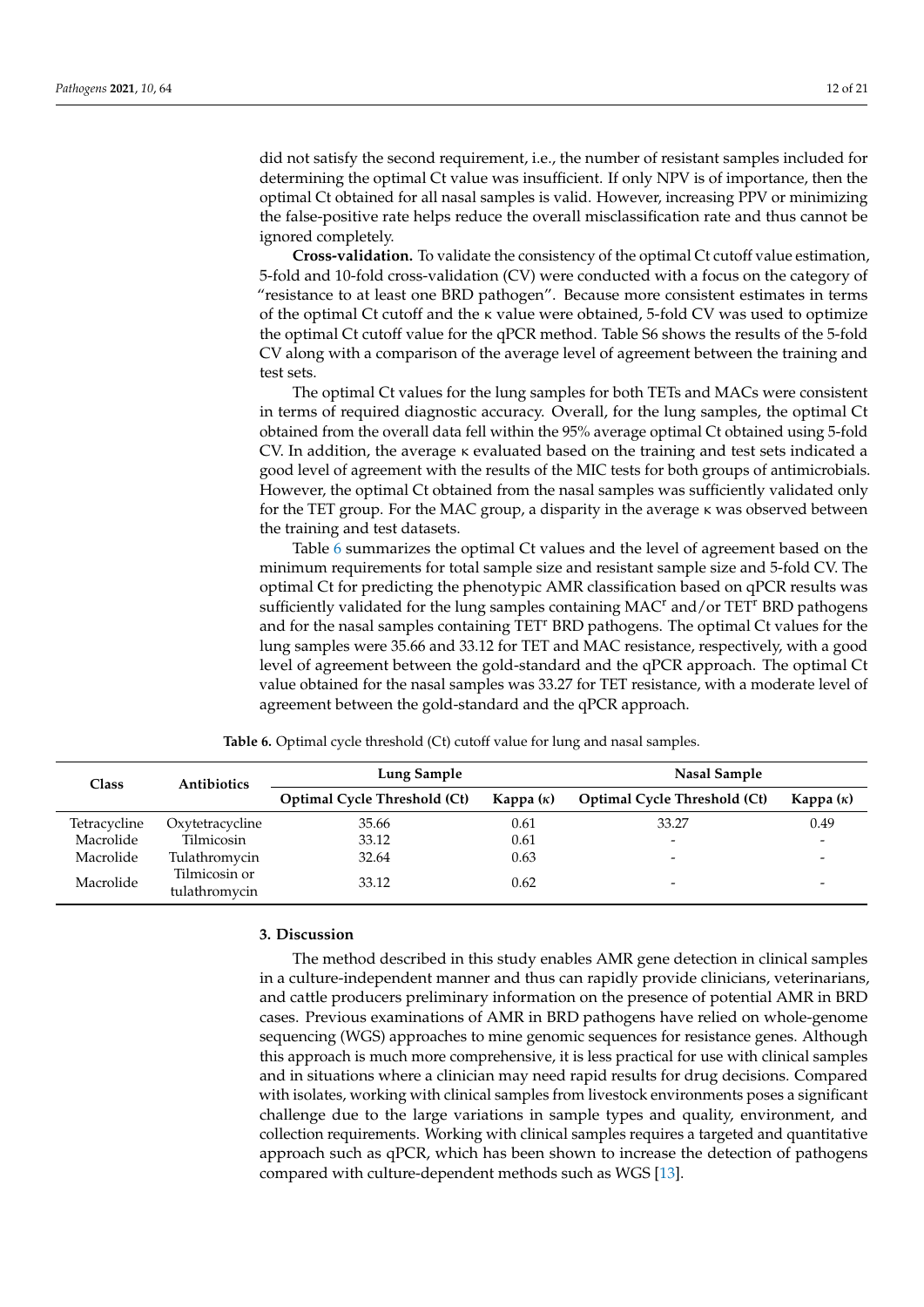did not satisfy the second requirement, i.e., the number of resistant samples included for determining the optimal Ct value was insufficient. If only NPV is of importance, then the optimal Ct obtained for all nasal samples is valid. However, increasing PPV or minimizing the false-positive rate helps reduce the overall misclassification rate and thus cannot be ignored completely.

**Cross-validation.** To validate the consistency of the optimal Ct cutoff value estimation, 5-fold and 10-fold cross-validation (CV) were conducted with a focus on the category of "resistance to at least one BRD pathogen". Because more consistent estimates in terms of the optimal Ct cutoff and the κ value were obtained, 5-fold CV was used to optimize the optimal Ct cutoff value for the qPCR method. Table S6 shows the results of the 5-fold CV along with a comparison of the average level of agreement between the training and test sets.

The optimal Ct values for the lung samples for both TETs and MACs were consistent in terms of required diagnostic accuracy. Overall, for the lung samples, the optimal Ct obtained from the overall data fell within the 95% average optimal Ct obtained using 5-fold CV. In addition, the average κ evaluated based on the training and test sets indicated a good level of agreement with the results of the MIC tests for both groups of antimicrobials. However, the optimal Ct obtained from the nasal samples was sufficiently validated only for the TET group. For the MAC group, a disparity in the average κ was observed between the training and test datasets.

Table [6](#page-13-0) summarizes the optimal Ct values and the level of agreement based on the minimum requirements for total sample size and resistant sample size and 5-fold CV. The optimal Ct for predicting the phenotypic AMR classification based on qPCR results was sufficiently validated for the lung samples containing MAC<sup>r</sup> and/or TET<sup>r</sup> BRD pathogens and for the nasal samples containing TET<sup>r</sup> BRD pathogens. The optimal Ct values for the lung samples were 35.66 and 33.12 for TET and MAC resistance, respectively, with a good level of agreement between the gold-standard and the qPCR approach. The optimal Ct value obtained for the nasal samples was 33.27 for TET resistance, with a moderate level of agreement between the gold-standard and the qPCR approach.

<span id="page-13-0"></span>

| Class        | <b>Antibiotics</b>             | Lung Sample                  |                  | Nasal Sample                        |                          |  |
|--------------|--------------------------------|------------------------------|------------------|-------------------------------------|--------------------------|--|
|              |                                | Optimal Cycle Threshold (Ct) | Kappa $(\kappa)$ | <b>Optimal Cycle Threshold (Ct)</b> | Kappa $(\kappa)$         |  |
| Tetracycline | Oxytetracycline                | 35.66                        | 0.61             | 33.27                               | 0.49                     |  |
| Macrolide    | Tilmicosin                     | 33.12                        | 0.61             |                                     | $\overline{\phantom{0}}$ |  |
| Macrolide    | Tulathromycin                  | 32.64                        | 0.63             |                                     | $\overline{\phantom{0}}$ |  |
| Macrolide    | Tilmicosin or<br>tulathromycin | 33.12                        | 0.62             |                                     | -                        |  |

**Table 6.** Optimal cycle threshold (Ct) cutoff value for lung and nasal samples.

#### **3. Discussion**

The method described in this study enables AMR gene detection in clinical samples in a culture-independent manner and thus can rapidly provide clinicians, veterinarians, and cattle producers preliminary information on the presence of potential AMR in BRD cases. Previous examinations of AMR in BRD pathogens have relied on whole-genome sequencing (WGS) approaches to mine genomic sequences for resistance genes. Although this approach is much more comprehensive, it is less practical for use with clinical samples and in situations where a clinician may need rapid results for drug decisions. Compared with isolates, working with clinical samples from livestock environments poses a significant challenge due to the large variations in sample types and quality, environment, and collection requirements. Working with clinical samples requires a targeted and quantitative approach such as qPCR, which has been shown to increase the detection of pathogens compared with culture-dependent methods such as WGS [\[13\]](#page-21-8).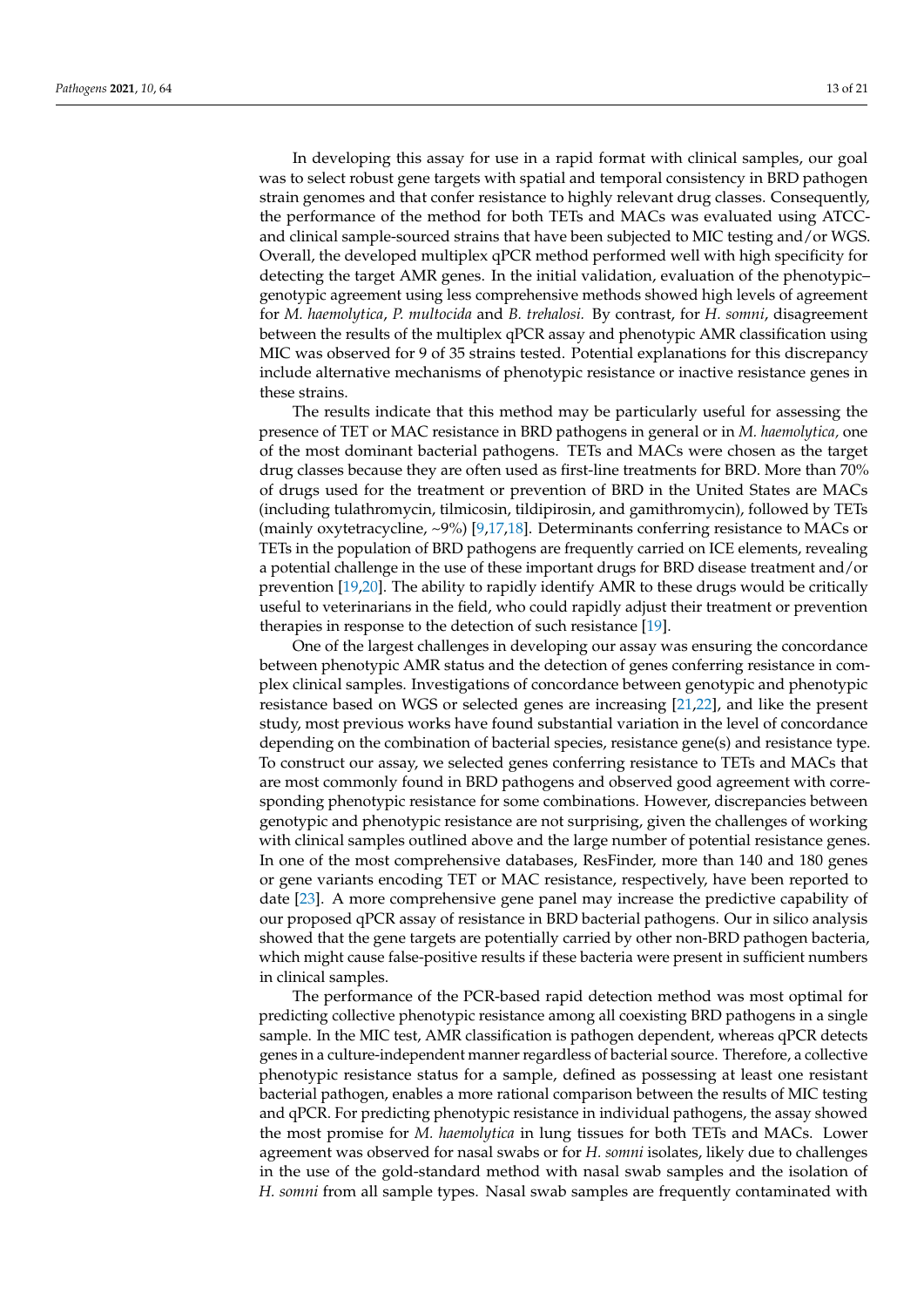In developing this assay for use in a rapid format with clinical samples, our goal was to select robust gene targets with spatial and temporal consistency in BRD pathogen strain genomes and that confer resistance to highly relevant drug classes. Consequently, the performance of the method for both TETs and MACs was evaluated using ATCCand clinical sample-sourced strains that have been subjected to MIC testing and/or WGS. Overall, the developed multiplex qPCR method performed well with high specificity for detecting the target AMR genes. In the initial validation, evaluation of the phenotypic– genotypic agreement using less comprehensive methods showed high levels of agreement for *M. haemolytica*, *P. multocida* and *B. trehalosi.* By contrast, for *H. somni*, disagreement between the results of the multiplex qPCR assay and phenotypic AMR classification using MIC was observed for 9 of 35 strains tested. Potential explanations for this discrepancy include alternative mechanisms of phenotypic resistance or inactive resistance genes in these strains.

The results indicate that this method may be particularly useful for assessing the presence of TET or MAC resistance in BRD pathogens in general or in *M. haemolytica,* one of the most dominant bacterial pathogens. TETs and MACs were chosen as the target drug classes because they are often used as first-line treatments for BRD. More than 70% of drugs used for the treatment or prevention of BRD in the United States are MACs (including tulathromycin, tilmicosin, tildipirosin, and gamithromycin), followed by TETs (mainly oxytetracycline, ~9%) [\[9](#page-21-5)[,17](#page-21-12)[,18\]](#page-21-13). Determinants conferring resistance to MACs or TETs in the population of BRD pathogens are frequently carried on ICE elements, revealing a potential challenge in the use of these important drugs for BRD disease treatment and/or prevention [\[19,](#page-21-14)[20\]](#page-21-15). The ability to rapidly identify AMR to these drugs would be critically useful to veterinarians in the field, who could rapidly adjust their treatment or prevention therapies in response to the detection of such resistance [\[19\]](#page-21-14).

One of the largest challenges in developing our assay was ensuring the concordance between phenotypic AMR status and the detection of genes conferring resistance in complex clinical samples. Investigations of concordance between genotypic and phenotypic resistance based on WGS or selected genes are increasing [\[21](#page-21-16)[,22\]](#page-21-17), and like the present study, most previous works have found substantial variation in the level of concordance depending on the combination of bacterial species, resistance gene(s) and resistance type. To construct our assay, we selected genes conferring resistance to TETs and MACs that are most commonly found in BRD pathogens and observed good agreement with corresponding phenotypic resistance for some combinations. However, discrepancies between genotypic and phenotypic resistance are not surprising, given the challenges of working with clinical samples outlined above and the large number of potential resistance genes. In one of the most comprehensive databases, ResFinder, more than 140 and 180 genes or gene variants encoding TET or MAC resistance, respectively, have been reported to date [\[23\]](#page-21-18). A more comprehensive gene panel may increase the predictive capability of our proposed qPCR assay of resistance in BRD bacterial pathogens. Our in silico analysis showed that the gene targets are potentially carried by other non-BRD pathogen bacteria, which might cause false-positive results if these bacteria were present in sufficient numbers in clinical samples.

The performance of the PCR-based rapid detection method was most optimal for predicting collective phenotypic resistance among all coexisting BRD pathogens in a single sample. In the MIC test, AMR classification is pathogen dependent, whereas qPCR detects genes in a culture-independent manner regardless of bacterial source. Therefore, a collective phenotypic resistance status for a sample, defined as possessing at least one resistant bacterial pathogen, enables a more rational comparison between the results of MIC testing and qPCR. For predicting phenotypic resistance in individual pathogens, the assay showed the most promise for *M. haemolytica* in lung tissues for both TETs and MACs. Lower agreement was observed for nasal swabs or for *H. somni* isolates, likely due to challenges in the use of the gold-standard method with nasal swab samples and the isolation of *H. somni* from all sample types. Nasal swab samples are frequently contaminated with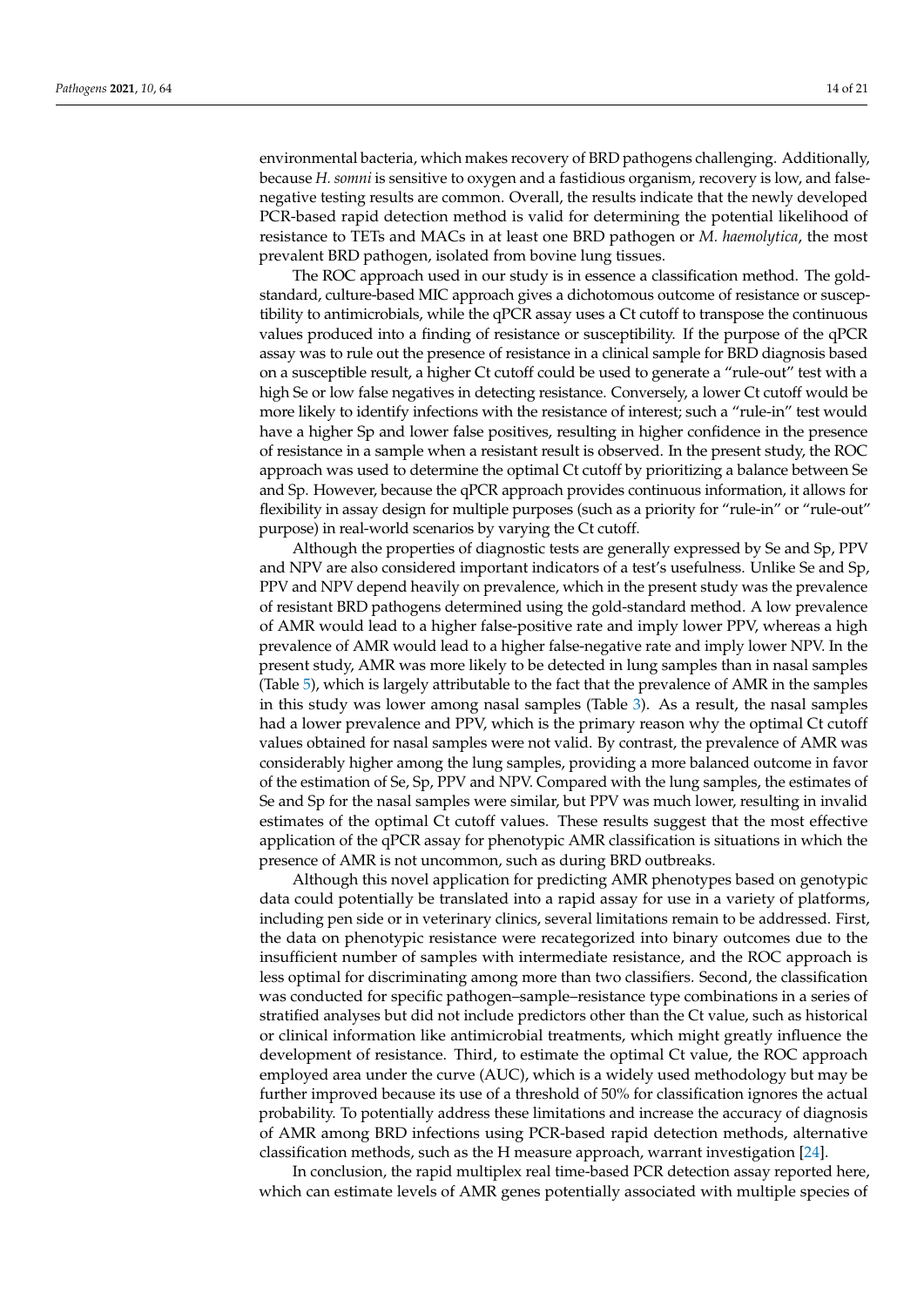environmental bacteria, which makes recovery of BRD pathogens challenging. Additionally, because *H. somni* is sensitive to oxygen and a fastidious organism, recovery is low, and falsenegative testing results are common. Overall, the results indicate that the newly developed PCR-based rapid detection method is valid for determining the potential likelihood of resistance to TETs and MACs in at least one BRD pathogen or *M. haemolytica*, the most prevalent BRD pathogen, isolated from bovine lung tissues.

The ROC approach used in our study is in essence a classification method. The goldstandard, culture-based MIC approach gives a dichotomous outcome of resistance or susceptibility to antimicrobials, while the qPCR assay uses a Ct cutoff to transpose the continuous values produced into a finding of resistance or susceptibility. If the purpose of the qPCR assay was to rule out the presence of resistance in a clinical sample for BRD diagnosis based on a susceptible result, a higher Ct cutoff could be used to generate a "rule-out" test with a high Se or low false negatives in detecting resistance. Conversely, a lower Ct cutoff would be more likely to identify infections with the resistance of interest; such a "rule-in" test would have a higher Sp and lower false positives, resulting in higher confidence in the presence of resistance in a sample when a resistant result is observed. In the present study, the ROC approach was used to determine the optimal Ct cutoff by prioritizing a balance between Se and Sp. However, because the qPCR approach provides continuous information, it allows for flexibility in assay design for multiple purposes (such as a priority for "rule-in" or "rule-out" purpose) in real-world scenarios by varying the Ct cutoff.

Although the properties of diagnostic tests are generally expressed by Se and Sp, PPV and NPV are also considered important indicators of a test's usefulness. Unlike Se and Sp, PPV and NPV depend heavily on prevalence, which in the present study was the prevalence of resistant BRD pathogens determined using the gold-standard method. A low prevalence of AMR would lead to a higher false-positive rate and imply lower PPV, whereas a high prevalence of AMR would lead to a higher false-negative rate and imply lower NPV. In the present study, AMR was more likely to be detected in lung samples than in nasal samples (Table [5\)](#page-11-0), which is largely attributable to the fact that the prevalence of AMR in the samples in this study was lower among nasal samples (Table [3\)](#page-8-0). As a result, the nasal samples had a lower prevalence and PPV, which is the primary reason why the optimal Ct cutoff values obtained for nasal samples were not valid. By contrast, the prevalence of AMR was considerably higher among the lung samples, providing a more balanced outcome in favor of the estimation of Se, Sp, PPV and NPV. Compared with the lung samples, the estimates of Se and Sp for the nasal samples were similar, but PPV was much lower, resulting in invalid estimates of the optimal Ct cutoff values. These results suggest that the most effective application of the qPCR assay for phenotypic AMR classification is situations in which the presence of AMR is not uncommon, such as during BRD outbreaks.

Although this novel application for predicting AMR phenotypes based on genotypic data could potentially be translated into a rapid assay for use in a variety of platforms, including pen side or in veterinary clinics, several limitations remain to be addressed. First, the data on phenotypic resistance were recategorized into binary outcomes due to the insufficient number of samples with intermediate resistance, and the ROC approach is less optimal for discriminating among more than two classifiers. Second, the classification was conducted for specific pathogen–sample–resistance type combinations in a series of stratified analyses but did not include predictors other than the Ct value, such as historical or clinical information like antimicrobial treatments, which might greatly influence the development of resistance. Third, to estimate the optimal Ct value, the ROC approach employed area under the curve (AUC), which is a widely used methodology but may be further improved because its use of a threshold of 50% for classification ignores the actual probability. To potentially address these limitations and increase the accuracy of diagnosis of AMR among BRD infections using PCR-based rapid detection methods, alternative classification methods, such as the H measure approach, warrant investigation [\[24\]](#page-21-19).

In conclusion, the rapid multiplex real time-based PCR detection assay reported here, which can estimate levels of AMR genes potentially associated with multiple species of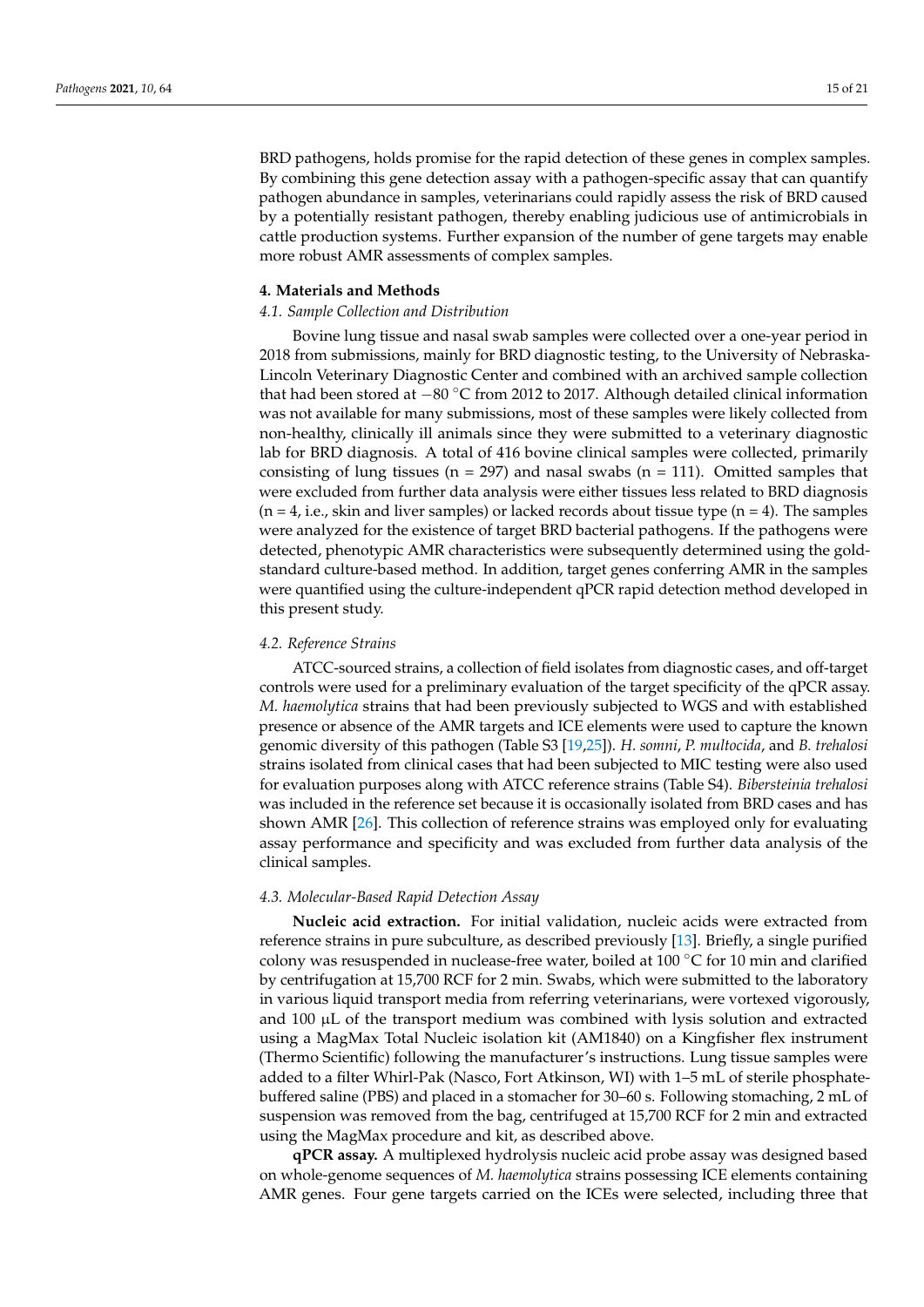BRD pathogens, holds promise for the rapid detection of these genes in complex samples. By combining this gene detection assay with a pathogen-specific assay that can quantify pathogen abundance in samples, veterinarians could rapidly assess the risk of BRD caused by a potentially resistant pathogen, thereby enabling judicious use of antimicrobials in cattle production systems. Further expansion of the number of gene targets may enable more robust AMR assessments of complex samples.

#### **4. Materials and Methods**

#### *4.1. Sample Collection and Distribution*

Bovine lung tissue and nasal swab samples were collected over a one-year period in 2018 from submissions, mainly for BRD diagnostic testing, to the University of Nebraska-Lincoln Veterinary Diagnostic Center and combined with an archived sample collection that had been stored at −80 ◦C from 2012 to 2017. Although detailed clinical information was not available for many submissions, most of these samples were likely collected from non-healthy, clinically ill animals since they were submitted to a veterinary diagnostic lab for BRD diagnosis. A total of 416 bovine clinical samples were collected, primarily consisting of lung tissues ( $n = 297$ ) and nasal swabs ( $n = 111$ ). Omitted samples that were excluded from further data analysis were either tissues less related to BRD diagnosis  $(n = 4, i.e.,$  skin and liver samples) or lacked records about tissue type  $(n = 4)$ . The samples were analyzed for the existence of target BRD bacterial pathogens. If the pathogens were detected, phenotypic AMR characteristics were subsequently determined using the goldstandard culture-based method. In addition, target genes conferring AMR in the samples were quantified using the culture-independent qPCR rapid detection method developed in this present study.

#### *4.2. Reference Strains*

ATCC-sourced strains, a collection of field isolates from diagnostic cases, and off-target controls were used for a preliminary evaluation of the target specificity of the qPCR assay. *M. haemolytica* strains that had been previously subjected to WGS and with established presence or absence of the AMR targets and ICE elements were used to capture the known genomic diversity of this pathogen (Table S3 [\[19,](#page-21-14)[25\]](#page-21-20)). *H. somni*, *P. multocida*, and *B. trehalosi* strains isolated from clinical cases that had been subjected to MIC testing were also used for evaluation purposes along with ATCC reference strains (Table S4). *Bibersteinia trehalosi* was included in the reference set because it is occasionally isolated from BRD cases and has shown AMR [\[26\]](#page-21-21). This collection of reference strains was employed only for evaluating assay performance and specificity and was excluded from further data analysis of the clinical samples.

#### *4.3. Molecular-Based Rapid Detection Assay*

**Nucleic acid extraction.** For initial validation, nucleic acids were extracted from reference strains in pure subculture, as described previously [\[13\]](#page-21-8). Briefly, a single purified colony was resuspended in nuclease-free water, boiled at 100 ◦C for 10 min and clarified by centrifugation at 15,700 RCF for 2 min. Swabs, which were submitted to the laboratory in various liquid transport media from referring veterinarians, were vortexed vigorously, and  $100 \mu L$  of the transport medium was combined with lysis solution and extracted using a MagMax Total Nucleic isolation kit (AM1840) on a Kingfisher flex instrument (Thermo Scientific) following the manufacturer's instructions. Lung tissue samples were added to a filter Whirl-Pak (Nasco, Fort Atkinson, WI) with 1–5 mL of sterile phosphatebuffered saline (PBS) and placed in a stomacher for 30–60 s. Following stomaching, 2 mL of suspension was removed from the bag, centrifuged at 15,700 RCF for 2 min and extracted using the MagMax procedure and kit, as described above.

**qPCR assay.** A multiplexed hydrolysis nucleic acid probe assay was designed based on whole-genome sequences of *M. haemolytica* strains possessing ICE elements containing AMR genes. Four gene targets carried on the ICEs were selected, including three that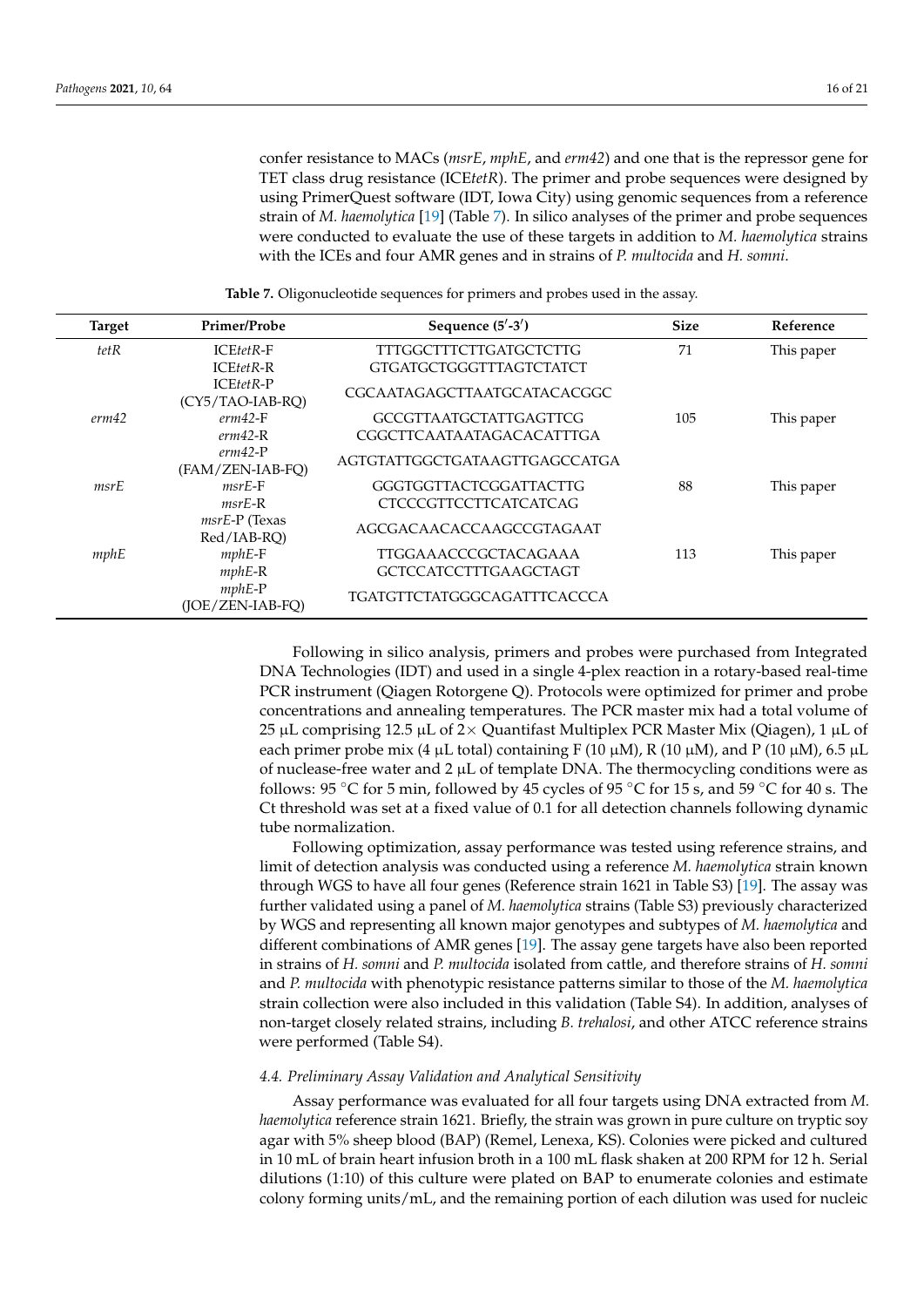confer resistance to MACs (*msrE*, *mphE*, and *erm42*) and one that is the repressor gene for TET class drug resistance (ICE*tetR*). The primer and probe sequences were designed by using PrimerQuest software (IDT, Iowa City) using genomic sequences from a reference strain of *M. haemolytica* [\[19\]](#page-21-14) (Table [7\)](#page-17-0). In silico analyses of the primer and probe sequences were conducted to evaluate the use of these targets in addition to *M. haemolytica* strains with the ICEs and four AMR genes and in strains of *P. multocida* and *H. somni*.

<span id="page-17-0"></span>

| <b>Target</b> | Primer/Probe                   | Sequence $(5'$ -3')                | <b>Size</b> | Reference  |
|---------------|--------------------------------|------------------------------------|-------------|------------|
| tetR          | $ICEtetR-F$                    | <b>TTTGGCTTTCTTGATGCTCTTG</b>      | 71          | This paper |
|               | <b>ICEtetR-R</b>               | <b>GTGATGCTGGGTTTAGTCTATCT</b>     |             |            |
|               | ICEtetR-P<br>(CY5/TAO-IAB-RO)  | CGCAATAGAGCTTAATGCATACACGGC        |             |            |
| erm42         | $erm42-F$                      | <b>GCCGTTAATGCTATTGAGTTCG</b>      | 105         | This paper |
|               | $erm42-R$                      | CGGCTTCAATAATAGACACATTTGA          |             |            |
|               | $erm42-P$<br>(FAM/ZEN-IAB-FO)  | AGTGTATTGGCTGATAAGTTGAGCCATGA      |             |            |
| msrE          | $msrE-F$                       | GGGTGGTTACTCGGATTACTTG             | 88          | This paper |
|               | $msrE-R$                       | <b>CTCCCGTTCCTTCATCATCAG</b>       |             |            |
|               | $msrE-P$ (Texas<br>Red/IAB-RO) | AGCGACAACACCAAGCCGTAGAAT           |             |            |
| mphE          | $mphE$ -F                      | TTGGAAACCCGCTACAGAAA               | 113         | This paper |
|               | $mphE-R$                       | <b>GCTCCATCCTTTGAAGCTAGT</b>       |             |            |
|               | $mphE$ -P<br>(JOE/ZEN-IAB-FQ)  | <b>TGATGTTCTATGGGCAGATTTCACCCA</b> |             |            |

**Table 7.** Oligonucleotide sequences for primers and probes used in the assay.

Following in silico analysis, primers and probes were purchased from Integrated DNA Technologies (IDT) and used in a single 4-plex reaction in a rotary-based real-time PCR instrument (Qiagen Rotorgene Q). Protocols were optimized for primer and probe concentrations and annealing temperatures. The PCR master mix had a total volume of 25 µL comprising 12.5 µL of  $2\times$  Quantifast Multiplex PCR Master Mix (Qiagen), 1 µL of each primer probe mix (4  $\mu$ L total) containing F (10  $\mu$ M), R (10  $\mu$ M), and P (10  $\mu$ M), 6.5  $\mu$ L of nuclease-free water and  $2 \mu L$  of template DNA. The thermocycling conditions were as follows: 95 °C for 5 min, followed by 45 cycles of 95 °C for 15 s, and 59 °C for 40 s. The Ct threshold was set at a fixed value of 0.1 for all detection channels following dynamic tube normalization.

Following optimization, assay performance was tested using reference strains, and limit of detection analysis was conducted using a reference *M. haemolytica* strain known through WGS to have all four genes (Reference strain 1621 in Table S3) [\[19\]](#page-21-14). The assay was further validated using a panel of *M. haemolytica* strains (Table S3) previously characterized by WGS and representing all known major genotypes and subtypes of *M. haemolytica* and different combinations of AMR genes [\[19\]](#page-21-14). The assay gene targets have also been reported in strains of *H. somni* and *P. multocida* isolated from cattle, and therefore strains of *H. somni* and *P. multocida* with phenotypic resistance patterns similar to those of the *M. haemolytica* strain collection were also included in this validation (Table S4). In addition, analyses of non-target closely related strains, including *B. trehalosi*, and other ATCC reference strains were performed (Table S4).

#### *4.4. Preliminary Assay Validation and Analytical Sensitivity*

Assay performance was evaluated for all four targets using DNA extracted from *M. haemolytica* reference strain 1621. Briefly, the strain was grown in pure culture on tryptic soy agar with 5% sheep blood (BAP) (Remel, Lenexa, KS). Colonies were picked and cultured in 10 mL of brain heart infusion broth in a 100 mL flask shaken at 200 RPM for 12 h. Serial dilutions (1:10) of this culture were plated on BAP to enumerate colonies and estimate colony forming units/mL, and the remaining portion of each dilution was used for nucleic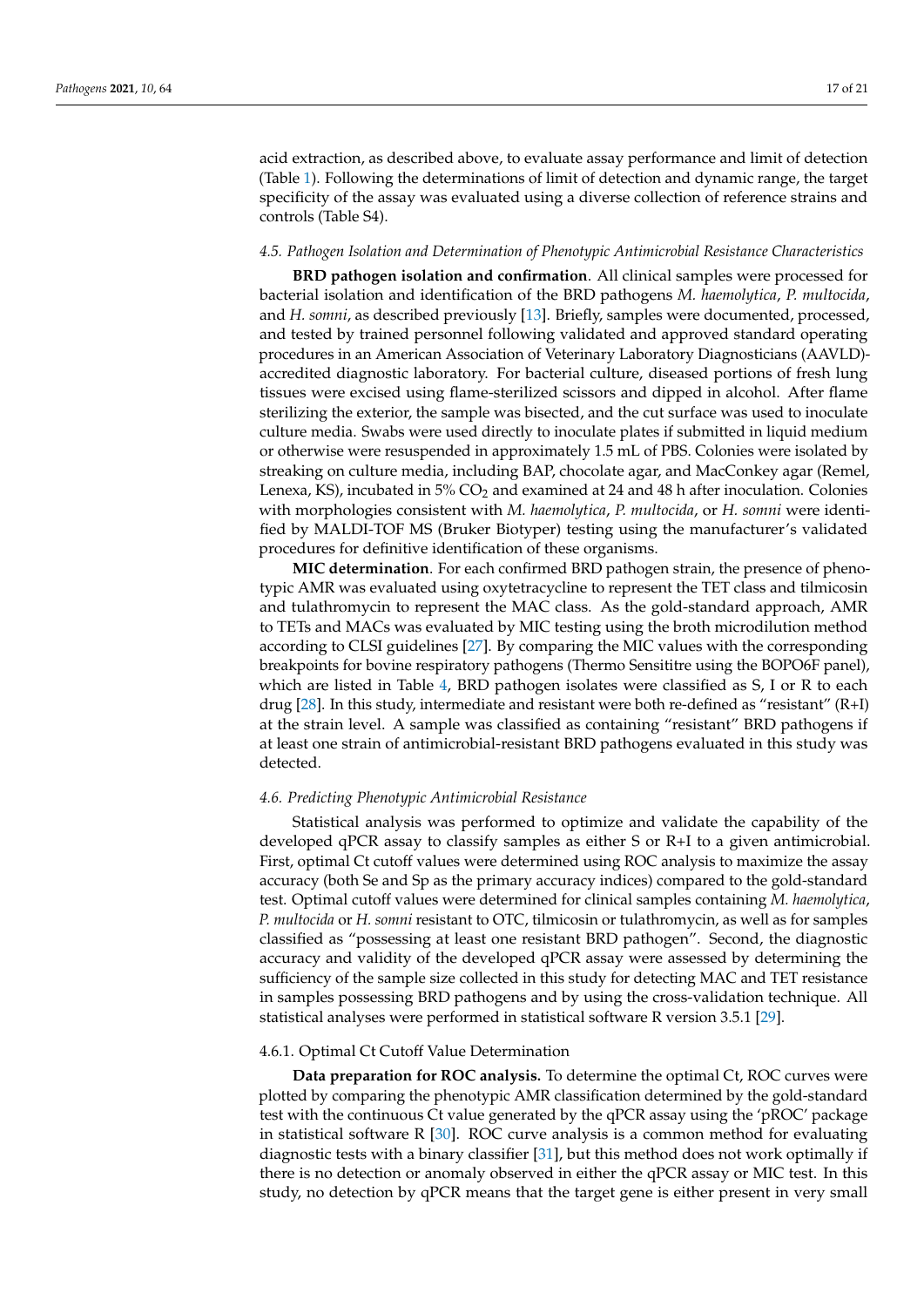acid extraction, as described above, to evaluate assay performance and limit of detection (Table [1\)](#page-5-0). Following the determinations of limit of detection and dynamic range, the target specificity of the assay was evaluated using a diverse collection of reference strains and controls (Table S4).

#### *4.5. Pathogen Isolation and Determination of Phenotypic Antimicrobial Resistance Characteristics*

**BRD pathogen isolation and confirmation**. All clinical samples were processed for bacterial isolation and identification of the BRD pathogens *M. haemolytica*, *P. multocida*, and *H. somni*, as described previously [\[13\]](#page-21-8). Briefly, samples were documented, processed, and tested by trained personnel following validated and approved standard operating procedures in an American Association of Veterinary Laboratory Diagnosticians (AAVLD) accredited diagnostic laboratory. For bacterial culture, diseased portions of fresh lung tissues were excised using flame-sterilized scissors and dipped in alcohol. After flame sterilizing the exterior, the sample was bisected, and the cut surface was used to inoculate culture media. Swabs were used directly to inoculate plates if submitted in liquid medium or otherwise were resuspended in approximately 1.5 mL of PBS. Colonies were isolated by streaking on culture media, including BAP, chocolate agar, and MacConkey agar (Remel, Lenexa, KS), incubated in  $5\%$  CO<sub>2</sub> and examined at 24 and 48 h after inoculation. Colonies with morphologies consistent with *M. haemolytica*, *P. multocida*, or *H. somni* were identified by MALDI-TOF MS (Bruker Biotyper) testing using the manufacturer's validated procedures for definitive identification of these organisms.

**MIC determination**. For each confirmed BRD pathogen strain, the presence of phenotypic AMR was evaluated using oxytetracycline to represent the TET class and tilmicosin and tulathromycin to represent the MAC class. As the gold-standard approach, AMR to TETs and MACs was evaluated by MIC testing using the broth microdilution method according to CLSI guidelines [\[27\]](#page-21-22). By comparing the MIC values with the corresponding breakpoints for bovine respiratory pathogens (Thermo Sensititre using the BOPO6F panel), which are listed in Table [4,](#page-8-1) BRD pathogen isolates were classified as S, I or R to each drug [\[28\]](#page-22-0). In this study, intermediate and resistant were both re-defined as "resistant" (R+I) at the strain level. A sample was classified as containing "resistant" BRD pathogens if at least one strain of antimicrobial-resistant BRD pathogens evaluated in this study was detected.

#### *4.6. Predicting Phenotypic Antimicrobial Resistance*

Statistical analysis was performed to optimize and validate the capability of the developed qPCR assay to classify samples as either S or R+I to a given antimicrobial. First, optimal Ct cutoff values were determined using ROC analysis to maximize the assay accuracy (both Se and Sp as the primary accuracy indices) compared to the gold-standard test. Optimal cutoff values were determined for clinical samples containing *M. haemolytica*, *P. multocida* or *H. somni* resistant to OTC, tilmicosin or tulathromycin, as well as for samples classified as "possessing at least one resistant BRD pathogen". Second, the diagnostic accuracy and validity of the developed qPCR assay were assessed by determining the sufficiency of the sample size collected in this study for detecting MAC and TET resistance in samples possessing BRD pathogens and by using the cross-validation technique. All statistical analyses were performed in statistical software R version 3.5.1 [\[29\]](#page-22-1).

#### 4.6.1. Optimal Ct Cutoff Value Determination

**Data preparation for ROC analysis.** To determine the optimal Ct, ROC curves were plotted by comparing the phenotypic AMR classification determined by the gold-standard test with the continuous Ct value generated by the qPCR assay using the 'pROC' package in statistical software R [\[30\]](#page-22-2). ROC curve analysis is a common method for evaluating diagnostic tests with a binary classifier [\[31\]](#page-22-3), but this method does not work optimally if there is no detection or anomaly observed in either the qPCR assay or MIC test. In this study, no detection by qPCR means that the target gene is either present in very small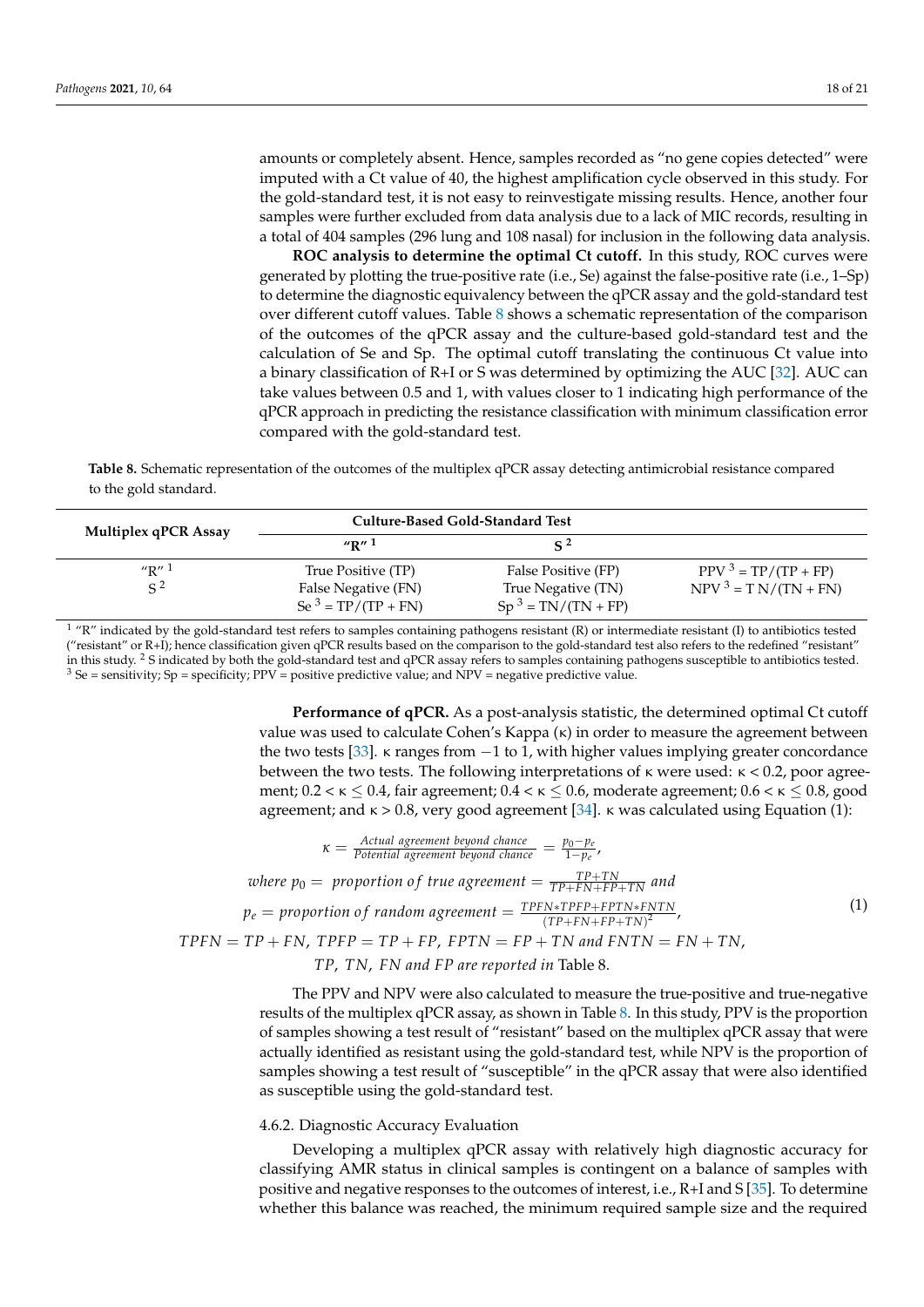amounts or completely absent. Hence, samples recorded as "no gene copies detected" were imputed with a Ct value of 40, the highest amplification cycle observed in this study. For the gold-standard test, it is not easy to reinvestigate missing results. Hence, another four samples were further excluded from data analysis due to a lack of MIC records, resulting in a total of 404 samples (296 lung and 108 nasal) for inclusion in the following data analysis.

**ROC analysis to determine the optimal Ct cutoff.** In this study, ROC curves were generated by plotting the true-positive rate (i.e., Se) against the false-positive rate (i.e., 1–Sp) to determine the diagnostic equivalency between the qPCR assay and the gold-standard test over different cutoff values. Table [8](#page-19-0) shows a schematic representation of the comparison of the outcomes of the qPCR assay and the culture-based gold-standard test and the calculation of Se and Sp. The optimal cutoff translating the continuous Ct value into a binary classification of R+I or S was determined by optimizing the AUC [\[32\]](#page-22-4). AUC can take values between 0.5 and 1, with values closer to 1 indicating high performance of the qPCR approach in predicting the resistance classification with minimum classification error compared with the gold-standard test.

<span id="page-19-0"></span>**Table 8.** Schematic representation of the outcomes of the multiplex qPCR assay detecting antimicrobial resistance compared to the gold standard.

| <b>Multiplex qPCR Assay</b> | Culture-Based Gold-Standard Test                                   |                                                                   |                                                  |
|-----------------------------|--------------------------------------------------------------------|-------------------------------------------------------------------|--------------------------------------------------|
|                             | $\sqrt{\mathbf{R}''}$ 1                                            | <b>C</b> 2                                                        |                                                  |
| "R" $^1$<br>$\mathsf{S}^2$  | True Positive (TP)<br>False Negative (FN)<br>Se $3 = TP/(TP + FN)$ | False Positive (FP)<br>True Negative (TN)<br>$Sp3 = TN/(TN + FP)$ | $PPV^3 = TP/(TP + FP)$<br>$NPV^3 = TN/(TN + FN)$ |

 $1$  "R" indicated by the gold-standard test refers to samples containing pathogens resistant (R) or intermediate resistant (I) to antibiotics tested ("resistant" or R+I); hence classification given qPCR results based on the comparison to the gold-standard test also refers to the redefined "resistant" in this study. <sup>2</sup> S indicated by both the gold-standard test and qPCR assay refers to samples containing pathogens susceptible to antibiotics tested.  $3$  Se = sensitivity; Sp = specificity; PPV = positive predictive value; and NPV = negative predictive value.

> **Performance of qPCR.** As a post-analysis statistic, the determined optimal Ct cutoff value was used to calculate Cohen's Kappa (κ) in order to measure the agreement between the two tests [\[33\]](#page-22-5).  $\kappa$  ranges from  $-1$  to 1, with higher values implying greater concordance between the two tests. The following interpretations of κ were used: κ < 0.2, poor agreement;  $0.2 < \kappa \leq 0.4$ , fair agreement;  $0.4 < \kappa \leq 0.6$ , moderate agreement;  $0.6 < \kappa \leq 0.8$ , good agreement; and  $\kappa > 0.8$ , very good agreement [\[34\]](#page-22-6).  $\kappa$  was calculated using Equation (1):

$$
\kappa = \frac{Actual\ agreement\ beyond\ chance}{Potential\ agreement\ beyond\ chance} = \frac{p_0 - p_e}{1 - p_e},
$$
\n
$$
where\ p_0 = proportion\ of\ true\ agreement = \frac{TP + TN}{TP + FN + FP + TN}
$$
 and\n
$$
p_e = proportion\ of\ random\ agreement = \frac{TP + TN * TPFP + FPTN * FNTN}{(TP + FN + FP + TN)^2},
$$
\n
$$
TPFN = TP + FN, \ TPFP = TP + FP, \ FPTN = FP + TN\ and \ FNTN = FN + TN,
$$
\n
$$
TP, \ TN, \ FN\ and\ FP\ are\ reported\ in\ Table\ 8.
$$
\n(1)

The PPV and NPV were also calculated to measure the true-positive and true-negative results of the multiplex qPCR assay, as shown in Table [8.](#page-19-0) In this study, PPV is the proportion of samples showing a test result of "resistant" based on the multiplex qPCR assay that were actually identified as resistant using the gold-standard test, while NPV is the proportion of samples showing a test result of "susceptible" in the qPCR assay that were also identified as susceptible using the gold-standard test.

#### 4.6.2. Diagnostic Accuracy Evaluation

Developing a multiplex qPCR assay with relatively high diagnostic accuracy for classifying AMR status in clinical samples is contingent on a balance of samples with positive and negative responses to the outcomes of interest, i.e., R+I and S [\[35\]](#page-22-7). To determine whether this balance was reached, the minimum required sample size and the required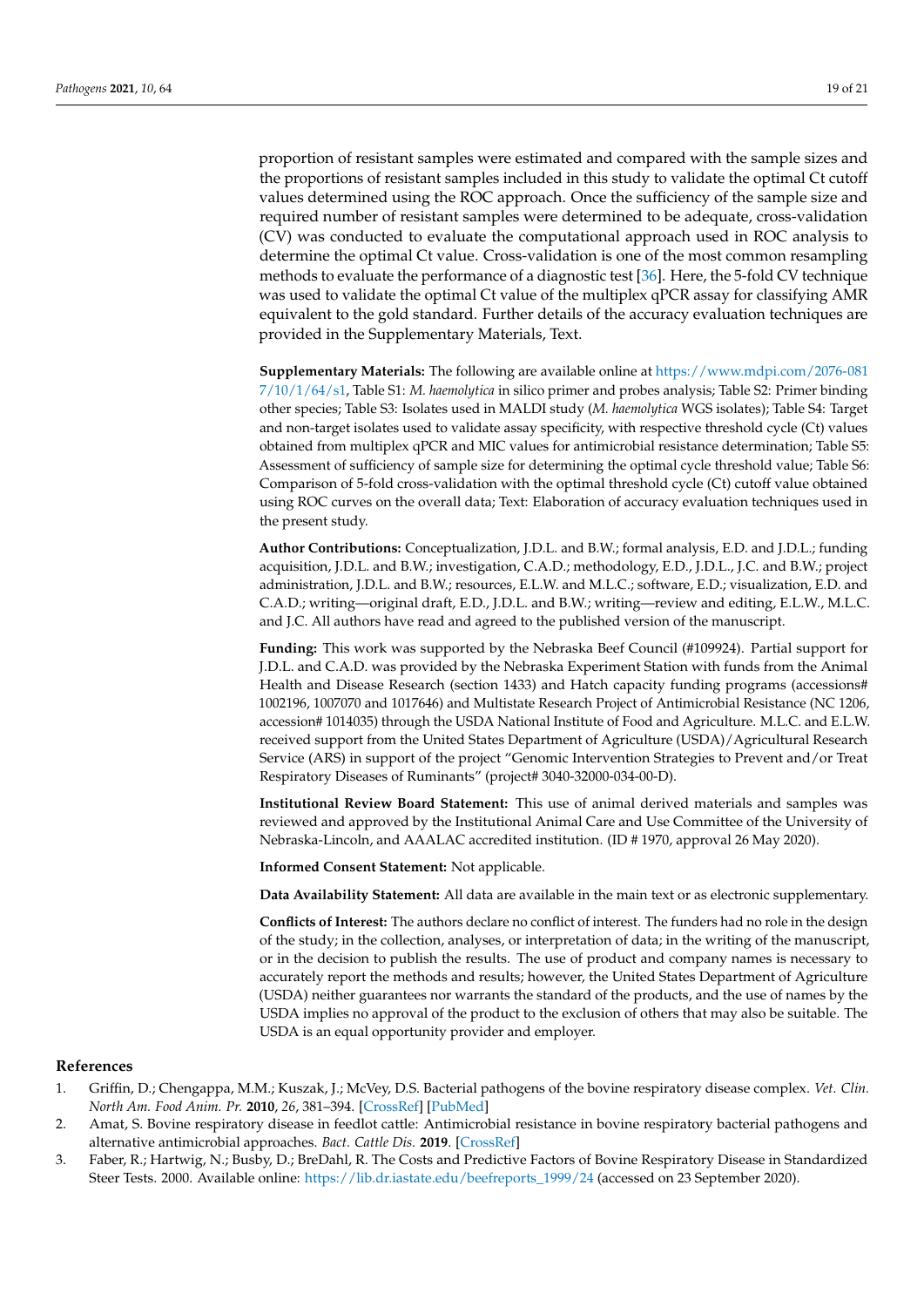proportion of resistant samples were estimated and compared with the sample sizes and the proportions of resistant samples included in this study to validate the optimal Ct cutoff values determined using the ROC approach. Once the sufficiency of the sample size and required number of resistant samples were determined to be adequate, cross-validation (CV) was conducted to evaluate the computational approach used in ROC analysis to determine the optimal Ct value. Cross-validation is one of the most common resampling methods to evaluate the performance of a diagnostic test [\[36\]](#page-22-8). Here, the 5-fold CV technique was used to validate the optimal Ct value of the multiplex qPCR assay for classifying AMR equivalent to the gold standard. Further details of the accuracy evaluation techniques are provided in the Supplementary Materials, Text.

**Supplementary Materials:** The following are available online at [https://www.mdpi.com/2076-081](https://www.mdpi.com/2076-0817/10/1/64/s1) [7/10/1/64/s1,](https://www.mdpi.com/2076-0817/10/1/64/s1) Table S1: *M. haemolytica* in silico primer and probes analysis; Table S2: Primer binding other species; Table S3: Isolates used in MALDI study (*M. haemolytica* WGS isolates); Table S4: Target and non-target isolates used to validate assay specificity, with respective threshold cycle (Ct) values obtained from multiplex qPCR and MIC values for antimicrobial resistance determination; Table S5: Assessment of sufficiency of sample size for determining the optimal cycle threshold value; Table S6: Comparison of 5-fold cross-validation with the optimal threshold cycle (Ct) cutoff value obtained using ROC curves on the overall data; Text: Elaboration of accuracy evaluation techniques used in the present study.

**Author Contributions:** Conceptualization, J.D.L. and B.W.; formal analysis, E.D. and J.D.L.; funding acquisition, J.D.L. and B.W.; investigation, C.A.D.; methodology, E.D., J.D.L., J.C. and B.W.; project administration, J.D.L. and B.W.; resources, E.L.W. and M.L.C.; software, E.D.; visualization, E.D. and C.A.D.; writing—original draft, E.D., J.D.L. and B.W.; writing—review and editing, E.L.W., M.L.C. and J.C. All authors have read and agreed to the published version of the manuscript.

**Funding:** This work was supported by the Nebraska Beef Council (#109924). Partial support for J.D.L. and C.A.D. was provided by the Nebraska Experiment Station with funds from the Animal Health and Disease Research (section 1433) and Hatch capacity funding programs (accessions# 1002196, 1007070 and 1017646) and Multistate Research Project of Antimicrobial Resistance (NC 1206, accession# 1014035) through the USDA National Institute of Food and Agriculture. M.L.C. and E.L.W. received support from the United States Department of Agriculture (USDA)/Agricultural Research Service (ARS) in support of the project "Genomic Intervention Strategies to Prevent and/or Treat Respiratory Diseases of Ruminants" (project# 3040-32000-034-00-D).

**Institutional Review Board Statement:** This use of animal derived materials and samples was reviewed and approved by the Institutional Animal Care and Use Committee of the University of Nebraska-Lincoln, and AAALAC accredited institution. (ID # 1970, approval 26 May 2020).

**Informed Consent Statement:** Not applicable.

**Data Availability Statement:** All data are available in the main text or as electronic supplementary.

**Conflicts of Interest:** The authors declare no conflict of interest. The funders had no role in the design of the study; in the collection, analyses, or interpretation of data; in the writing of the manuscript, or in the decision to publish the results. The use of product and company names is necessary to accurately report the methods and results; however, the United States Department of Agriculture (USDA) neither guarantees nor warrants the standard of the products, and the use of names by the USDA implies no approval of the product to the exclusion of others that may also be suitable. The USDA is an equal opportunity provider and employer.

#### **References**

- <span id="page-20-0"></span>1. Griffin, D.; Chengappa, M.M.; Kuszak, J.; McVey, D.S. Bacterial pathogens of the bovine respiratory disease complex. *Vet. Clin. North Am. Food Anim. Pr.* **2010**, *26*, 381–394. [\[CrossRef\]](http://doi.org/10.1016/j.cvfa.2010.04.004) [\[PubMed\]](http://www.ncbi.nlm.nih.gov/pubmed/20619191)
- <span id="page-20-1"></span>2. Amat, S. Bovine respiratory disease in feedlot cattle: Antimicrobial resistance in bovine respiratory bacterial pathogens and alternative antimicrobial approaches. *Bact. Cattle Dis.* **2019**. [\[CrossRef\]](http://doi.org/10.5772/intechopen.81718)
- <span id="page-20-2"></span>3. Faber, R.; Hartwig, N.; Busby, D.; BreDahl, R. The Costs and Predictive Factors of Bovine Respiratory Disease in Standardized Steer Tests. 2000. Available online: [https://lib.dr.iastate.edu/beefreports\\_1999/24](https://lib.dr.iastate.edu/beefreports_1999/24) (accessed on 23 September 2020).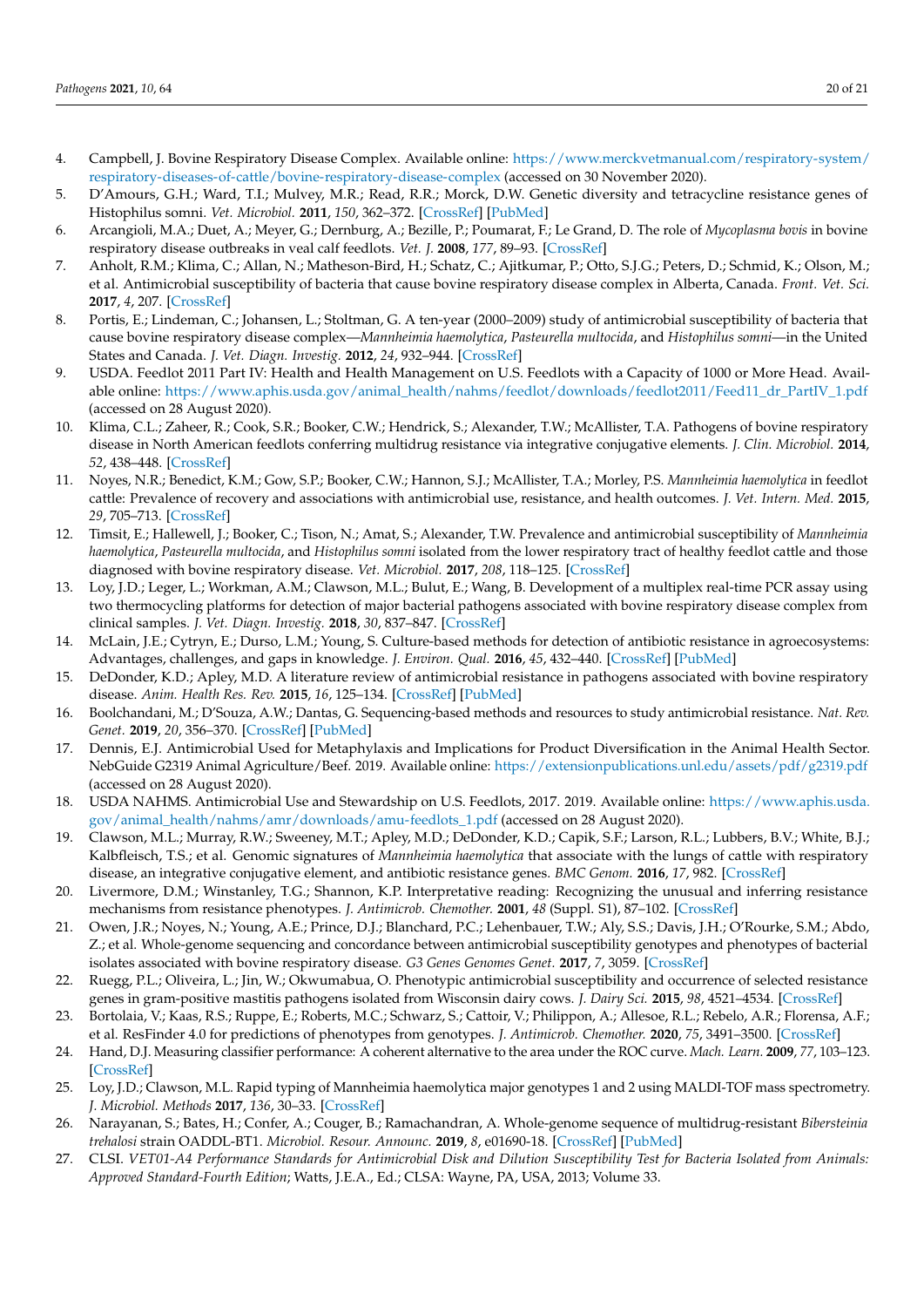- <span id="page-21-0"></span>4. Campbell, J. Bovine Respiratory Disease Complex. Available online: [https://www.merckvetmanual.com/respiratory-system/](https://www.merckvetmanual.com/respiratory-system/respiratory-diseases-of-cattle/bovine-respiratory-disease-complex) [respiratory-diseases-of-cattle/bovine-respiratory-disease-complex](https://www.merckvetmanual.com/respiratory-system/respiratory-diseases-of-cattle/bovine-respiratory-disease-complex) (accessed on 30 November 2020).
- <span id="page-21-1"></span>5. D'Amours, G.H.; Ward, T.I.; Mulvey, M.R.; Read, R.R.; Morck, D.W. Genetic diversity and tetracycline resistance genes of Histophilus somni. *Vet. Microbiol.* **2011**, *150*, 362–372. [\[CrossRef\]](http://doi.org/10.1016/j.vetmic.2011.02.051) [\[PubMed\]](http://www.ncbi.nlm.nih.gov/pubmed/21482045)
- <span id="page-21-2"></span>6. Arcangioli, M.A.; Duet, A.; Meyer, G.; Dernburg, A.; Bezille, P.; Poumarat, F.; Le Grand, D. The role of *Mycoplasma bovis* in bovine respiratory disease outbreaks in veal calf feedlots. *Vet. J.* **2008**, *177*, 89–93. [\[CrossRef\]](http://doi.org/10.1016/j.tvjl.2007.03.008)
- <span id="page-21-3"></span>7. Anholt, R.M.; Klima, C.; Allan, N.; Matheson-Bird, H.; Schatz, C.; Ajitkumar, P.; Otto, S.J.G.; Peters, D.; Schmid, K.; Olson, M.; et al. Antimicrobial susceptibility of bacteria that cause bovine respiratory disease complex in Alberta, Canada. *Front. Vet. Sci.* **2017**, *4*, 207. [\[CrossRef\]](http://doi.org/10.3389/fvets.2017.00207)
- <span id="page-21-4"></span>8. Portis, E.; Lindeman, C.; Johansen, L.; Stoltman, G. A ten-year (2000–2009) study of antimicrobial susceptibility of bacteria that cause bovine respiratory disease complex—*Mannheimia haemolytica*, *Pasteurella multocida*, and *Histophilus somni*—in the United States and Canada. *J. Vet. Diagn. Investig.* **2012**, *24*, 932–944. [\[CrossRef\]](http://doi.org/10.1177/1040638712457559)
- <span id="page-21-5"></span>9. USDA. Feedlot 2011 Part IV: Health and Health Management on U.S. Feedlots with a Capacity of 1000 or More Head. Available online: [https://www.aphis.usda.gov/animal\\_health/nahms/feedlot/downloads/feedlot2011/Feed11\\_dr\\_PartIV\\_1.pdf](https://www.aphis.usda.gov/animal_health/nahms/feedlot/downloads/feedlot2011/Feed11_dr_PartIV_1.pdf) (accessed on 28 August 2020).
- <span id="page-21-7"></span>10. Klima, C.L.; Zaheer, R.; Cook, S.R.; Booker, C.W.; Hendrick, S.; Alexander, T.W.; McAllister, T.A. Pathogens of bovine respiratory disease in North American feedlots conferring multidrug resistance via integrative conjugative elements. *J. Clin. Microbiol.* **2014**, *52*, 438–448. [\[CrossRef\]](http://doi.org/10.1128/JCM.02485-13)
- 11. Noyes, N.R.; Benedict, K.M.; Gow, S.P.; Booker, C.W.; Hannon, S.J.; McAllister, T.A.; Morley, P.S. *Mannheimia haemolytica* in feedlot cattle: Prevalence of recovery and associations with antimicrobial use, resistance, and health outcomes. *J. Vet. Intern. Med.* **2015**, *29*, 705–713. [\[CrossRef\]](http://doi.org/10.1111/jvim.12547)
- <span id="page-21-6"></span>12. Timsit, E.; Hallewell, J.; Booker, C.; Tison, N.; Amat, S.; Alexander, T.W. Prevalence and antimicrobial susceptibility of *Mannheimia haemolytica*, *Pasteurella multocida*, and *Histophilus somni* isolated from the lower respiratory tract of healthy feedlot cattle and those diagnosed with bovine respiratory disease. *Vet. Microbiol.* **2017**, *208*, 118–125. [\[CrossRef\]](http://doi.org/10.1016/j.vetmic.2017.07.013)
- <span id="page-21-8"></span>13. Loy, J.D.; Leger, L.; Workman, A.M.; Clawson, M.L.; Bulut, E.; Wang, B. Development of a multiplex real-time PCR assay using two thermocycling platforms for detection of major bacterial pathogens associated with bovine respiratory disease complex from clinical samples. *J. Vet. Diagn. Investig.* **2018**, *30*, 837–847. [\[CrossRef\]](http://doi.org/10.1177/1040638718800170)
- <span id="page-21-9"></span>14. McLain, J.E.; Cytryn, E.; Durso, L.M.; Young, S. Culture-based methods for detection of antibiotic resistance in agroecosystems: Advantages, challenges, and gaps in knowledge. *J. Environ. Qual.* **2016**, *45*, 432–440. [\[CrossRef\]](http://doi.org/10.2134/jeq2015.06.0317) [\[PubMed\]](http://www.ncbi.nlm.nih.gov/pubmed/27065389)
- <span id="page-21-10"></span>15. DeDonder, K.D.; Apley, M.D. A literature review of antimicrobial resistance in pathogens associated with bovine respiratory disease. *Anim. Health Res. Rev.* **2015**, *16*, 125–134. [\[CrossRef\]](http://doi.org/10.1017/S146625231500016X) [\[PubMed\]](http://www.ncbi.nlm.nih.gov/pubmed/26373635)
- <span id="page-21-11"></span>16. Boolchandani, M.; D'Souza, A.W.; Dantas, G. Sequencing-based methods and resources to study antimicrobial resistance. *Nat. Rev. Genet.* **2019**, *20*, 356–370. [\[CrossRef\]](http://doi.org/10.1038/s41576-019-0108-4) [\[PubMed\]](http://www.ncbi.nlm.nih.gov/pubmed/30886350)
- <span id="page-21-12"></span>17. Dennis, E.J. Antimicrobial Used for Metaphylaxis and Implications for Product Diversification in the Animal Health Sector. NebGuide G2319 Animal Agriculture/Beef. 2019. Available online: <https://extensionpublications.unl.edu/assets/pdf/g2319.pdf> (accessed on 28 August 2020).
- <span id="page-21-13"></span>18. USDA NAHMS. Antimicrobial Use and Stewardship on U.S. Feedlots, 2017. 2019. Available online: [https://www.aphis.usda.](https://www.aphis.usda.gov/animal_health/nahms/amr/downloads/amu-feedlots_1.pdf) [gov/animal\\_health/nahms/amr/downloads/amu-feedlots\\_1.pdf](https://www.aphis.usda.gov/animal_health/nahms/amr/downloads/amu-feedlots_1.pdf) (accessed on 28 August 2020).
- <span id="page-21-14"></span>19. Clawson, M.L.; Murray, R.W.; Sweeney, M.T.; Apley, M.D.; DeDonder, K.D.; Capik, S.F.; Larson, R.L.; Lubbers, B.V.; White, B.J.; Kalbfleisch, T.S.; et al. Genomic signatures of *Mannheimia haemolytica* that associate with the lungs of cattle with respiratory disease, an integrative conjugative element, and antibiotic resistance genes. *BMC Genom.* **2016**, *17*, 982. [\[CrossRef\]](http://doi.org/10.1186/s12864-016-3316-8)
- <span id="page-21-15"></span>20. Livermore, D.M.; Winstanley, T.G.; Shannon, K.P. Interpretative reading: Recognizing the unusual and inferring resistance mechanisms from resistance phenotypes. *J. Antimicrob. Chemother.* **2001**, *48* (Suppl. S1), 87–102. [\[CrossRef\]](http://doi.org/10.1093/jac/48.suppl_1.87)
- <span id="page-21-16"></span>21. Owen, J.R.; Noyes, N.; Young, A.E.; Prince, D.J.; Blanchard, P.C.; Lehenbauer, T.W.; Aly, S.S.; Davis, J.H.; O'Rourke, S.M.; Abdo, Z.; et al. Whole-genome sequencing and concordance between antimicrobial susceptibility genotypes and phenotypes of bacterial isolates associated with bovine respiratory disease. *G3 Genes Genomes Genet.* **2017**, *7*, 3059. [\[CrossRef\]](http://doi.org/10.1534/g3.117.1137)
- <span id="page-21-17"></span>22. Ruegg, P.L.; Oliveira, L.; Jin, W.; Okwumabua, O. Phenotypic antimicrobial susceptibility and occurrence of selected resistance genes in gram-positive mastitis pathogens isolated from Wisconsin dairy cows. *J. Dairy Sci.* **2015**, *98*, 4521–4534. [\[CrossRef\]](http://doi.org/10.3168/jds.2014-9137)
- <span id="page-21-18"></span>23. Bortolaia, V.; Kaas, R.S.; Ruppe, E.; Roberts, M.C.; Schwarz, S.; Cattoir, V.; Philippon, A.; Allesoe, R.L.; Rebelo, A.R.; Florensa, A.F.; et al. ResFinder 4.0 for predictions of phenotypes from genotypes. *J. Antimicrob. Chemother.* **2020**, *75*, 3491–3500. [\[CrossRef\]](http://doi.org/10.1093/jac/dkaa345)
- <span id="page-21-19"></span>24. Hand, D.J. Measuring classifier performance: A coherent alternative to the area under the ROC curve. *Mach. Learn.* **2009**, *77*, 103–123. [\[CrossRef\]](http://doi.org/10.1007/s10994-009-5119-5)
- <span id="page-21-20"></span>25. Loy, J.D.; Clawson, M.L. Rapid typing of Mannheimia haemolytica major genotypes 1 and 2 using MALDI-TOF mass spectrometry. *J. Microbiol. Methods* **2017**, *136*, 30–33. [\[CrossRef\]](http://doi.org/10.1016/j.mimet.2017.03.002)
- <span id="page-21-21"></span>26. Narayanan, S.; Bates, H.; Confer, A.; Couger, B.; Ramachandran, A. Whole-genome sequence of multidrug-resistant *Bibersteinia trehalosi* strain OADDL-BT1. *Microbiol. Resour. Announc.* **2019**, *8*, e01690-18. [\[CrossRef\]](http://doi.org/10.1128/MRA.01690-18) [\[PubMed\]](http://www.ncbi.nlm.nih.gov/pubmed/30746527)
- <span id="page-21-22"></span>27. CLSI. *VET01-A4 Performance Standards for Antimicrobial Disk and Dilution Susceptibility Test for Bacteria Isolated from Animals: Approved Standard-Fourth Edition*; Watts, J.E.A., Ed.; CLSA: Wayne, PA, USA, 2013; Volume 33.